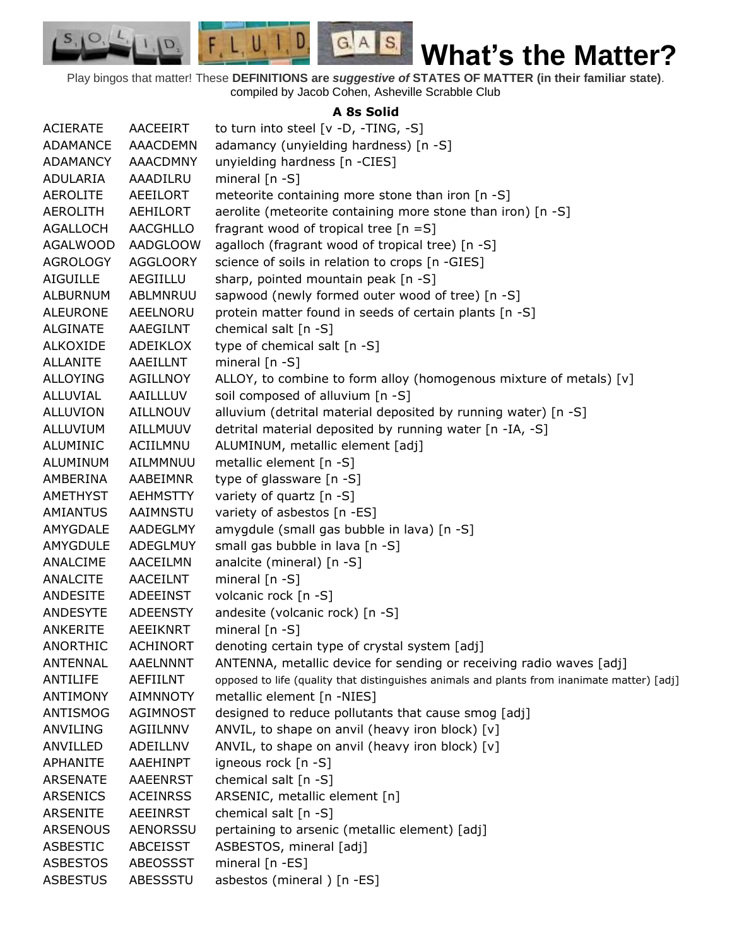Play bingos that matter! These **DEFINITIONS are** *suggestive of* **STATES OF MATTER (in their familiar state)**. compiled by Jacob Cohen, Asheville Scrabble Club

 $G.A.S.$ 

 $\Box$ 

 $F, L, U, I$ 

D.

 $S_{1}$  $\circ$ 

## **A 8s Solid**

| <b>ACIERATE</b> | AACEEIRT        | to turn into steel [v -D, -TING, -S]                                                        |
|-----------------|-----------------|---------------------------------------------------------------------------------------------|
| ADAMANCE        | <b>AAACDEMN</b> | adamancy (unyielding hardness) [n -S]                                                       |
| ADAMANCY        | AAACDMNY        | unyielding hardness [n -CIES]                                                               |
| ADULARIA        | AAADILRU        | mineral $[n - S]$                                                                           |
| <b>AEROLITE</b> | AEEILORT        | meteorite containing more stone than iron [n -S]                                            |
| <b>AEROLITH</b> | AEHILORT        | aerolite (meteorite containing more stone than iron) [n -S]                                 |
| AGALLOCH        | AACGHLLO        | fragrant wood of tropical tree $[n = S]$                                                    |
| <b>AGALWOOD</b> | <b>AADGLOOW</b> | agalloch (fragrant wood of tropical tree) [n -S]                                            |
| <b>AGROLOGY</b> | <b>AGGLOORY</b> | science of soils in relation to crops [n -GIES]                                             |
| <b>AIGUILLE</b> | AEGIILLU        | sharp, pointed mountain peak [n -S]                                                         |
| <b>ALBURNUM</b> | ABLMNRUU        | sapwood (newly formed outer wood of tree) [n -S]                                            |
| <b>ALEURONE</b> | AEELNORU        | protein matter found in seeds of certain plants [n -S]                                      |
| ALGINATE        | AAEGILNT        | chemical salt [n -S]                                                                        |
| ALKOXIDE        | ADEIKLOX        | type of chemical salt [n -S]                                                                |
| <b>ALLANITE</b> | AAEILLNT        | mineral $[n - S]$                                                                           |
| <b>ALLOYING</b> | <b>AGILLNOY</b> | ALLOY, to combine to form alloy (homogenous mixture of metals) [v]                          |
| ALLUVIAL        | AAILLLUV        | soil composed of alluvium [n -S]                                                            |
| <b>ALLUVION</b> | AILLNOUV        | alluvium (detrital material deposited by running water) [n -S]                              |
| ALLUVIUM        | AILLMUUV        | detrital material deposited by running water [n -IA, -S]                                    |
| ALUMINIC        | ACIILMNU        | ALUMINUM, metallic element [adj]                                                            |
| ALUMINUM        | AILMMNUU        | metallic element [n -S]                                                                     |
| AMBERINA        | AABEIMNR        | type of glassware [n -S]                                                                    |
| AMETHYST        | <b>AEHMSTTY</b> | variety of quartz [n -S]                                                                    |
| <b>AMIANTUS</b> | AAIMNSTU        | variety of asbestos [n -ES]                                                                 |
| AMYGDALE        | AADEGLMY        | amygdule (small gas bubble in lava) [n -S]                                                  |
| AMYGDULE        | <b>ADEGLMUY</b> | small gas bubble in lava [n -S]                                                             |
| ANALCIME        | AACEILMN        | analcite (mineral) [n -S]                                                                   |
| ANALCITE        | AACEILNT        | mineral $[n - S]$                                                                           |
| ANDESITE        | <b>ADEEINST</b> | volcanic rock [n -S]                                                                        |
| <b>ANDESYTE</b> | <b>ADEENSTY</b> | andesite (volcanic rock) [n -S]                                                             |
| ANKERITE        | <b>AEEIKNRT</b> | mineral [n -S]                                                                              |
| <b>ANORTHIC</b> | <b>ACHINORT</b> | denoting certain type of crystal system [adj]                                               |
| <b>ANTENNAL</b> | <b>AAELNNNT</b> | ANTENNA, metallic device for sending or receiving radio waves [adj]                         |
| ANTILIFE        | AEFIILNT        | opposed to life (quality that distinguishes animals and plants from inanimate matter) [adj] |
| <b>ANTIMONY</b> | <b>AIMNNOTY</b> | metallic element [n -NIES]                                                                  |
| ANTISMOG        | <b>AGIMNOST</b> | designed to reduce pollutants that cause smog [adj]                                         |
| ANVILING        | AGIILNNV        | ANVIL, to shape on anvil (heavy iron block) [v]                                             |
| ANVILLED        | ADEILLNV        | ANVIL, to shape on anvil (heavy iron block) [v]                                             |
| APHANITE        | AAEHINPT        | igneous rock [n -S]                                                                         |
| <b>ARSENATE</b> | <b>AAEENRST</b> | chemical salt [n -S]                                                                        |
| ARSENICS        | <b>ACEINRSS</b> | ARSENIC, metallic element [n]                                                               |
| ARSENITE        | <b>AEEINRST</b> | chemical salt [n -S]                                                                        |
| <b>ARSENOUS</b> | <b>AENORSSU</b> | pertaining to arsenic (metallic element) [adj]                                              |
| <b>ASBESTIC</b> | <b>ABCEISST</b> | ASBESTOS, mineral [adj]                                                                     |
| <b>ASBESTOS</b> | ABEOSSST        | mineral [n -ES]                                                                             |
| <b>ASBESTUS</b> | ABESSSTU        | asbestos (mineral) [n -ES]                                                                  |
|                 |                 |                                                                                             |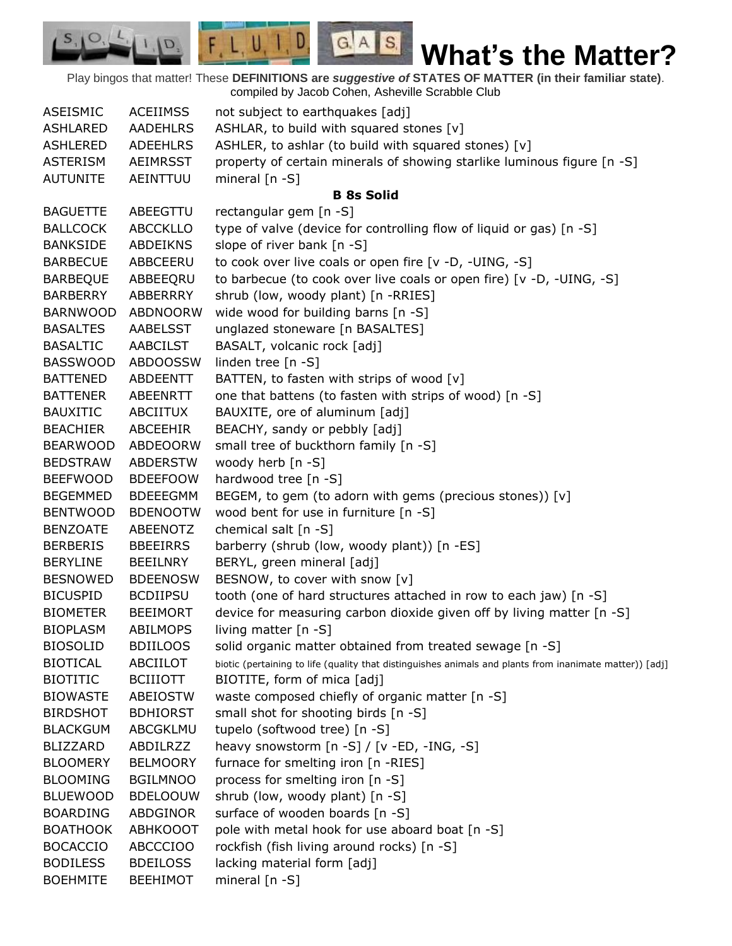Play bingos that matter! These **DEFINITIONS are** *suggestive of* **STATES OF MATTER (in their familiar state)**. compiled by Jacob Cohen, Asheville Scrabble Club

 $G.A.S.$ 

 $F, L, U, I, D$ 

D.

| <b>ASEISMIC</b> | <b>ACEIIMSS</b> | not subject to earthquakes [adj]                                                                        |
|-----------------|-----------------|---------------------------------------------------------------------------------------------------------|
| <b>ASHLARED</b> | <b>AADEHLRS</b> | ASHLAR, to build with squared stones [v]                                                                |
| <b>ASHLERED</b> | <b>ADEEHLRS</b> | ASHLER, to ashlar (to build with squared stones) [v]                                                    |
| <b>ASTERISM</b> | AEIMRSST        | property of certain minerals of showing starlike luminous figure [n -S]                                 |
| <b>AUTUNITE</b> | AEINTTUU        | mineral $[n - S]$                                                                                       |
|                 |                 | <b>B</b> 8s Solid                                                                                       |
| <b>BAGUETTE</b> | ABEEGTTU        | rectangular gem [n -S]                                                                                  |
| <b>BALLCOCK</b> | <b>ABCCKLLO</b> | type of valve (device for controlling flow of liquid or gas) [n -S]                                     |
| <b>BANKSIDE</b> | <b>ABDEIKNS</b> | slope of river bank [n -S]                                                                              |
| <b>BARBECUE</b> | ABBCEERU        | to cook over live coals or open fire [v -D, -UING, -S]                                                  |
| <b>BARBEQUE</b> | ABBEEQRU        | to barbecue (to cook over live coals or open fire) [v -D, -UING, -S]                                    |
| <b>BARBERRY</b> | ABBERRRY        | shrub (low, woody plant) [n -RRIES]                                                                     |
| <b>BARNWOOD</b> | ABDNOORW        | wide wood for building barns [n -S]                                                                     |
| <b>BASALTES</b> | AABELSST        | unglazed stoneware [n BASALTES]                                                                         |
| <b>BASALTIC</b> | <b>AABCILST</b> | BASALT, volcanic rock [adj]                                                                             |
| <b>BASSWOOD</b> | <b>ABDOOSSW</b> | linden tree [n -S]                                                                                      |
| <b>BATTENED</b> | ABDEENTT        | BATTEN, to fasten with strips of wood [v]                                                               |
| <b>BATTENER</b> | ABEENRTT        | one that battens (to fasten with strips of wood) [n -S]                                                 |
| <b>BAUXITIC</b> | ABCIITUX        | BAUXITE, ore of aluminum [adj]                                                                          |
| <b>BEACHIER</b> | ABCEEHIR        | BEACHY, sandy or pebbly [adj]                                                                           |
| <b>BEARWOOD</b> | ABDEOORW        | small tree of buckthorn family [n -S]                                                                   |
| <b>BEDSTRAW</b> | <b>ABDERSTW</b> | woody herb [n -S]                                                                                       |
| <b>BEEFWOOD</b> | <b>BDEEFOOW</b> | hardwood tree [n -S]                                                                                    |
| <b>BEGEMMED</b> | <b>BDEEEGMM</b> | BEGEM, to gem (to adorn with gems (precious stones)) [v]                                                |
| <b>BENTWOOD</b> | <b>BDENOOTW</b> | wood bent for use in furniture [n -S]                                                                   |
| <b>BENZOATE</b> | ABEENOTZ        | chemical salt [n -S]                                                                                    |
| <b>BERBERIS</b> | <b>BBEEIRRS</b> | barberry (shrub (low, woody plant)) [n -ES]                                                             |
| <b>BERYLINE</b> | <b>BEEILNRY</b> | BERYL, green mineral [adj]                                                                              |
| <b>BESNOWED</b> | <b>BDEENOSW</b> | BESNOW, to cover with snow [v]                                                                          |
| <b>BICUSPID</b> | <b>BCDIIPSU</b> | tooth (one of hard structures attached in row to each jaw) [n -S]                                       |
| <b>BIOMETER</b> | <b>BEEIMORT</b> | device for measuring carbon dioxide given off by living matter [n -S]                                   |
| <b>BIOPLASM</b> | <b>ABILMOPS</b> | living matter $[n - S]$                                                                                 |
| <b>BIOSOLID</b> | <b>BDIILOOS</b> | solid organic matter obtained from treated sewage [n -S]                                                |
| <b>BIOTICAL</b> | ABCIILOT        | biotic (pertaining to life (quality that distinguishes animals and plants from inanimate matter)) [adj] |
| <b>BIOTITIC</b> | <b>BCIIIOTT</b> | BIOTITE, form of mica [adj]                                                                             |
| <b>BIOWASTE</b> | ABEIOSTW        | waste composed chiefly of organic matter [n -S]                                                         |
| <b>BIRDSHOT</b> | <b>BDHIORST</b> | small shot for shooting birds [n -S]                                                                    |
| <b>BLACKGUM</b> | ABCGKLMU        | tupelo (softwood tree) [n -S]                                                                           |
| <b>BLIZZARD</b> | ABDILRZZ        | heavy snowstorm $[n -S] / [v - ED, -ING, -S]$                                                           |
| <b>BLOOMERY</b> | <b>BELMOORY</b> | furnace for smelting iron [n -RIES]                                                                     |
| <b>BLOOMING</b> | <b>BGILMNOO</b> | process for smelting iron [n -S]                                                                        |
| <b>BLUEWOOD</b> | <b>BDELOOUW</b> | shrub (low, woody plant) [n -S]                                                                         |
| <b>BOARDING</b> | ABDGINOR        | surface of wooden boards [n -S]                                                                         |
| <b>BOATHOOK</b> | <b>ABHKOOOT</b> | pole with metal hook for use aboard boat [n -S]                                                         |
| <b>BOCACCIO</b> | <b>ABCCCIOO</b> | rockfish (fish living around rocks) [n -S]                                                              |
| <b>BODILESS</b> | <b>BDEILOSS</b> | lacking material form [adj]                                                                             |
| <b>BOEHMITE</b> | <b>BEEHIMOT</b> | mineral $[n - S]$                                                                                       |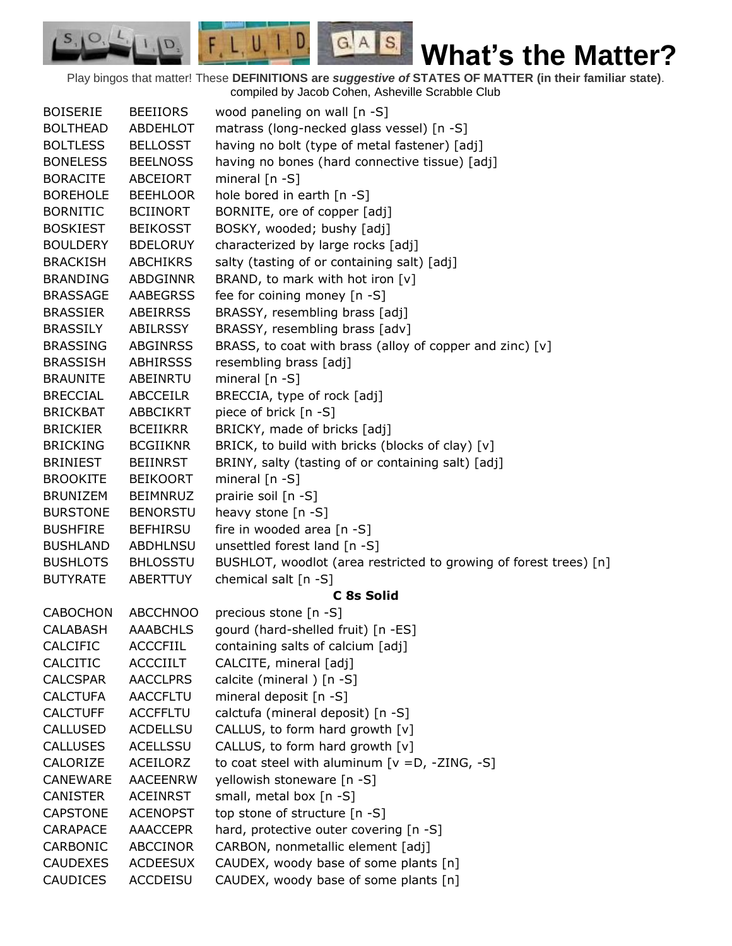Play bingos that matter! These **DEFINITIONS are** *suggestive of* **STATES OF MATTER (in their familiar state)**. compiled by Jacob Cohen, Asheville Scrabble Club

 $G.A.S.$ 

 $F, L, U, I, D$ 

D.

 $S, \mathbf{O}$ 

| <b>BOISERIE</b> | <b>BEEIIORS</b> | wood paneling on wall [n -S]                                      |
|-----------------|-----------------|-------------------------------------------------------------------|
| <b>BOLTHEAD</b> | <b>ABDEHLOT</b> | matrass (long-necked glass vessel) [n -S]                         |
| <b>BOLTLESS</b> | <b>BELLOSST</b> | having no bolt (type of metal fastener) [adj]                     |
| <b>BONELESS</b> | <b>BEELNOSS</b> | having no bones (hard connective tissue) [adj]                    |
| <b>BORACITE</b> | ABCEIORT        | mineral $[n - S]$                                                 |
| <b>BOREHOLE</b> | <b>BEEHLOOR</b> | hole bored in earth [n -S]                                        |
| <b>BORNITIC</b> | <b>BCIINORT</b> | BORNITE, ore of copper [adj]                                      |
| <b>BOSKIEST</b> | <b>BEIKOSST</b> | BOSKY, wooded; bushy [adj]                                        |
| <b>BOULDERY</b> | <b>BDELORUY</b> | characterized by large rocks [adj]                                |
| <b>BRACKISH</b> | <b>ABCHIKRS</b> | salty (tasting of or containing salt) [adj]                       |
| <b>BRANDING</b> | ABDGINNR        | BRAND, to mark with hot iron [v]                                  |
| <b>BRASSAGE</b> | <b>AABEGRSS</b> | fee for coining money [n -S]                                      |
| <b>BRASSIER</b> | <b>ABEIRRSS</b> | BRASSY, resembling brass [adj]                                    |
| <b>BRASSILY</b> | ABILRSSY        | BRASSY, resembling brass [adv]                                    |
| <b>BRASSING</b> | <b>ABGINRSS</b> | BRASS, to coat with brass (alloy of copper and zinc) [v]          |
| <b>BRASSISH</b> | <b>ABHIRSSS</b> | resembling brass [adj]                                            |
| <b>BRAUNITE</b> | ABEINRTU        | mineral [n -S]                                                    |
| <b>BRECCIAL</b> | <b>ABCCEILR</b> | BRECCIA, type of rock [adj]                                       |
| <b>BRICKBAT</b> | <b>ABBCIKRT</b> | piece of brick [n -S]                                             |
| <b>BRICKIER</b> | <b>BCEIIKRR</b> | BRICKY, made of bricks [adj]                                      |
| <b>BRICKING</b> | <b>BCGIIKNR</b> | BRICK, to build with bricks (blocks of clay) [v]                  |
| <b>BRINIEST</b> | <b>BEIINRST</b> | BRINY, salty (tasting of or containing salt) [adj]                |
| <b>BROOKITE</b> | <b>BEIKOORT</b> | mineral [n -S]                                                    |
| <b>BRUNIZEM</b> | <b>BEIMNRUZ</b> | prairie soil [n -S]                                               |
| <b>BURSTONE</b> | <b>BENORSTU</b> | heavy stone [n -S]                                                |
| <b>BUSHFIRE</b> | <b>BEFHIRSU</b> | fire in wooded area [n -S]                                        |
| <b>BUSHLAND</b> | <b>ABDHLNSU</b> | unsettled forest land [n -S]                                      |
| <b>BUSHLOTS</b> | <b>BHLOSSTU</b> | BUSHLOT, woodlot (area restricted to growing of forest trees) [n] |
| <b>BUTYRATE</b> | ABERTTUY        | chemical salt [n -S]                                              |
|                 |                 | C 8s Solid                                                        |
| <b>CABOCHON</b> | <b>ABCCHNOO</b> | precious stone [n -S]                                             |
| <b>CALABASH</b> | <b>AAABCHLS</b> | gourd (hard-shelled fruit) [n -ES]                                |
| <b>CALCIFIC</b> | <b>ACCCFIIL</b> | containing salts of calcium [adj]                                 |
| CALCITIC        | <b>ACCCIILT</b> | CALCITE, mineral [adj]                                            |
| <b>CALCSPAR</b> | <b>AACCLPRS</b> | calcite (mineral) [n -S]                                          |
| <b>CALCTUFA</b> | <b>AACCFLTU</b> | mineral deposit [n -S]                                            |
| <b>CALCTUFF</b> | <b>ACCFFLTU</b> | calctufa (mineral deposit) [n -S]                                 |
| <b>CALLUSED</b> | <b>ACDELLSU</b> | CALLUS, to form hard growth [v]                                   |
| <b>CALLUSES</b> | <b>ACELLSSU</b> | CALLUS, to form hard growth [v]                                   |
| CALORIZE        | <b>ACEILORZ</b> | to coat steel with aluminum $[v = D, -ZING, -S]$                  |
| <b>CANEWARE</b> | <b>AACEENRW</b> |                                                                   |
|                 |                 | yellowish stoneware [n -S]                                        |
| <b>CANISTER</b> | <b>ACEINRST</b> | small, metal box [n -S]                                           |
| <b>CAPSTONE</b> | <b>ACENOPST</b> | top stone of structure [n -S]                                     |
| CARAPACE        | <b>AAACCEPR</b> | hard, protective outer covering [n -S]                            |
| CARBONIC        | <b>ABCCINOR</b> | CARBON, nonmetallic element [adj]                                 |
| <b>CAUDEXES</b> | <b>ACDEESUX</b> | CAUDEX, woody base of some plants [n]                             |
| <b>CAUDICES</b> | <b>ACCDEISU</b> | CAUDEX, woody base of some plants [n]                             |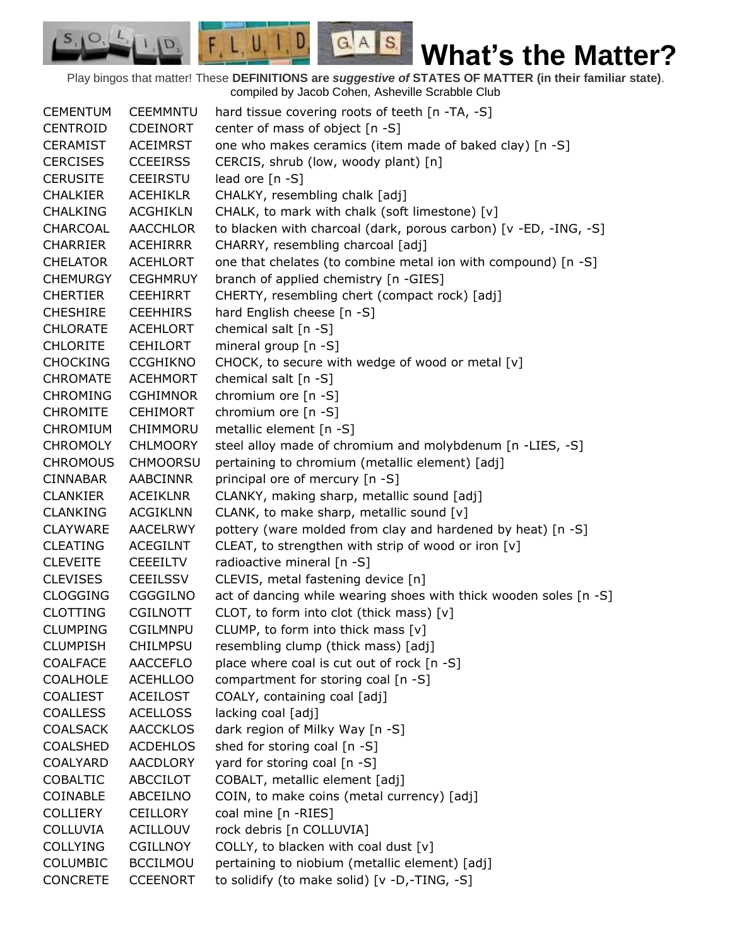Play bingos that matter! These **DEFINITIONS are** *suggestive of* **STATES OF MATTER (in their familiar state)**. compiled by Jacob Cohen, Asheville Scrabble Club

 $G.A.S.$ 

 $F, L, U, I, D$ 

D.

| <b>CEMENTUM</b> | <b>CEEMMNTU</b> | hard tissue covering roots of teeth [n -TA, -S]                   |
|-----------------|-----------------|-------------------------------------------------------------------|
| <b>CENTROID</b> | <b>CDEINORT</b> | center of mass of object [n -S]                                   |
| <b>CERAMIST</b> | <b>ACEIMRST</b> | one who makes ceramics (item made of baked clay) [n -S]           |
| <b>CERCISES</b> | <b>CCEEIRSS</b> | CERCIS, shrub (low, woody plant) [n]                              |
| <b>CERUSITE</b> | <b>CEEIRSTU</b> | lead ore [n -S]                                                   |
| <b>CHALKIER</b> | <b>ACEHIKLR</b> | CHALKY, resembling chalk [adj]                                    |
| <b>CHALKING</b> | <b>ACGHIKLN</b> | CHALK, to mark with chalk (soft limestone) [v]                    |
| CHARCOAL        | AACCHLOR        | to blacken with charcoal (dark, porous carbon) [v -ED, -ING, -S]  |
| <b>CHARRIER</b> | <b>ACEHIRRR</b> | CHARRY, resembling charcoal [adj]                                 |
| <b>CHELATOR</b> | <b>ACEHLORT</b> | one that chelates (to combine metal ion with compound) [n -S]     |
| <b>CHEMURGY</b> | <b>CEGHMRUY</b> | branch of applied chemistry [n -GIES]                             |
| <b>CHERTIER</b> | <b>CEEHIRRT</b> | CHERTY, resembling chert (compact rock) [adj]                     |
| <b>CHESHIRE</b> | <b>CEEHHIRS</b> | hard English cheese [n -S]                                        |
| <b>CHLORATE</b> | ACEHLORT        | chemical salt [n -S]                                              |
| <b>CHLORITE</b> | <b>CEHILORT</b> | mineral group [n -S]                                              |
| <b>CHOCKING</b> | <b>CCGHIKNO</b> | CHOCK, to secure with wedge of wood or metal [v]                  |
| <b>CHROMATE</b> | <b>ACEHMORT</b> | chemical salt $[n -S]$                                            |
| <b>CHROMING</b> | <b>CGHIMNOR</b> | chromium ore [n -S]                                               |
| <b>CHROMITE</b> | <b>CEHIMORT</b> | chromium ore [n -S]                                               |
| <b>CHROMIUM</b> | CHIMMORU        | metallic element [n -S]                                           |
| <b>CHROMOLY</b> | <b>CHLMOORY</b> | steel alloy made of chromium and molybdenum [n -LIES, -S]         |
| <b>CHROMOUS</b> | <b>CHMOORSU</b> | pertaining to chromium (metallic element) [adj]                   |
| <b>CINNABAR</b> | <b>AABCINNR</b> | principal ore of mercury [n -S]                                   |
| <b>CLANKIER</b> | <b>ACEIKLNR</b> | CLANKY, making sharp, metallic sound [adj]                        |
| <b>CLANKING</b> | <b>ACGIKLNN</b> | CLANK, to make sharp, metallic sound [v]                          |
| <b>CLAYWARE</b> | <b>AACELRWY</b> | pottery (ware molded from clay and hardened by heat) [n -S]       |
| <b>CLEATING</b> | <b>ACEGILNT</b> | CLEAT, to strengthen with strip of wood or iron [v]               |
| <b>CLEVEITE</b> | <b>CEEEILTV</b> | radioactive mineral [n -S]                                        |
| <b>CLEVISES</b> | <b>CEEILSSV</b> | CLEVIS, metal fastening device [n]                                |
| <b>CLOGGING</b> | CGGGILNO        | act of dancing while wearing shoes with thick wooden soles [n -S] |
| <b>CLOTTING</b> | <b>CGILNOTT</b> | CLOT, to form into clot (thick mass) [v]                          |
| <b>CLUMPING</b> | <b>CGILMNPU</b> | CLUMP, to form into thick mass [v]                                |
| <b>CLUMPISH</b> | <b>CHILMPSU</b> | resembling clump (thick mass) [adj]                               |
| <b>COALFACE</b> | <b>AACCEFLO</b> | place where coal is cut out of rock [n -S]                        |
| <b>COALHOLE</b> | <b>ACEHLLOO</b> | compartment for storing coal [n -S]                               |
| <b>COALIEST</b> | <b>ACEILOST</b> | COALY, containing coal [adj]                                      |
| <b>COALLESS</b> | <b>ACELLOSS</b> | lacking coal [adj]                                                |
| <b>COALSACK</b> | <b>AACCKLOS</b> | dark region of Milky Way [n -S]                                   |
| <b>COALSHED</b> | <b>ACDEHLOS</b> | shed for storing coal [n -S]                                      |
| <b>COALYARD</b> | <b>AACDLORY</b> | yard for storing coal [n -S]                                      |
| <b>COBALTIC</b> | ABCCILOT        | COBALT, metallic element [adj]                                    |
| COINABLE        | ABCEILNO        | COIN, to make coins (metal currency) [adj]                        |
| <b>COLLIERY</b> | <b>CEILLORY</b> | coal mine [n -RIES]                                               |
| <b>COLLUVIA</b> | <b>ACILLOUV</b> | rock debris [n COLLUVIA]                                          |
| <b>COLLYING</b> | <b>CGILLNOY</b> | COLLY, to blacken with coal dust [v]                              |
| COLUMBIC        | <b>BCCILMOU</b> | pertaining to niobium (metallic element) [adj]                    |
| <b>CONCRETE</b> | <b>CCEENORT</b> | to solidify (to make solid) [v -D,-TING, -S]                      |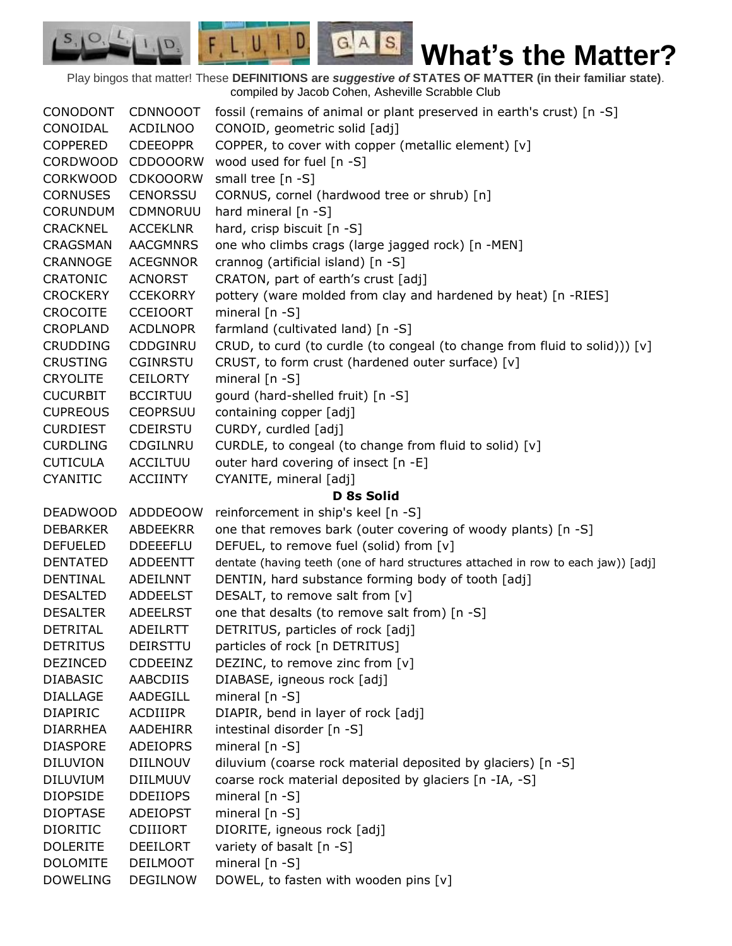Play bingos that matter! These **DEFINITIONS are** *suggestive of* **STATES OF MATTER (in their familiar state)**. compiled by Jacob Cohen, Asheville Scrabble Club

 $G.A.S.$ 

 $F, L, U, I, D$ 

D.

| CONODONT        | <b>CDNNOOOT</b> | fossil (remains of animal or plant preserved in earth's crust) [n -S]             |
|-----------------|-----------------|-----------------------------------------------------------------------------------|
| CONOIDAL        | <b>ACDILNOO</b> | CONOID, geometric solid [adj]                                                     |
| <b>COPPERED</b> | <b>CDEEOPPR</b> | COPPER, to cover with copper (metallic element) [v]                               |
| <b>CORDWOOD</b> | <b>CDDOOORW</b> | wood used for fuel [n -S]                                                         |
| <b>CORKWOOD</b> | <b>CDKOOORW</b> | small tree [n -S]                                                                 |
| <b>CORNUSES</b> | <b>CENORSSU</b> | CORNUS, cornel (hardwood tree or shrub) [n]                                       |
| <b>CORUNDUM</b> | CDMNORUU        | hard mineral $[n - S]$                                                            |
| CRACKNEL        | <b>ACCEKLNR</b> | hard, crisp biscuit [n -S]                                                        |
| <b>CRAGSMAN</b> | <b>AACGMNRS</b> | one who climbs crags (large jagged rock) [n -MEN]                                 |
| CRANNOGE        | <b>ACEGNNOR</b> | crannog (artificial island) [n -S]                                                |
| <b>CRATONIC</b> | <b>ACNORST</b>  | CRATON, part of earth's crust [adj]                                               |
| <b>CROCKERY</b> | <b>CCEKORRY</b> | pottery (ware molded from clay and hardened by heat) [n -RIES]                    |
| <b>CROCOITE</b> | <b>CCEIOORT</b> | mineral $[n - S]$                                                                 |
| <b>CROPLAND</b> | <b>ACDLNOPR</b> | farmland (cultivated land) [n -S]                                                 |
| <b>CRUDDING</b> | CDDGINRU        | CRUD, to curd (to curdle (to congeal (to change from fluid to solid))) [v]        |
| <b>CRUSTING</b> | <b>CGINRSTU</b> | CRUST, to form crust (hardened outer surface) [v]                                 |
| <b>CRYOLITE</b> | <b>CEILORTY</b> | mineral [n -S]                                                                    |
| <b>CUCURBIT</b> | <b>BCCIRTUU</b> | gourd (hard-shelled fruit) [n -S]                                                 |
| <b>CUPREOUS</b> | <b>CEOPRSUU</b> | containing copper [adj]                                                           |
| <b>CURDIEST</b> | <b>CDEIRSTU</b> | CURDY, curdled [adj]                                                              |
| <b>CURDLING</b> | CDGILNRU        | CURDLE, to congeal (to change from fluid to solid) [v]                            |
| <b>CUTICULA</b> | <b>ACCILTUU</b> | outer hard covering of insect [n -E]                                              |
| <b>CYANITIC</b> | <b>ACCIINTY</b> | CYANITE, mineral [adj]                                                            |
|                 |                 |                                                                                   |
|                 |                 | D 8s Solid                                                                        |
| <b>DEADWOOD</b> | <b>ADDDEOOW</b> | reinforcement in ship's keel [n -S]                                               |
| <b>DEBARKER</b> | ABDEEKRR        | one that removes bark (outer covering of woody plants) [n -S]                     |
| <b>DEFUELED</b> | <b>DDEEEFLU</b> | DEFUEL, to remove fuel (solid) from [v]                                           |
| <b>DENTATED</b> | ADDEENTT        | dentate (having teeth (one of hard structures attached in row to each jaw)) [adj] |
| DENTINAL        | ADEILNNT        | DENTIN, hard substance forming body of tooth [adj]                                |
| <b>DESALTED</b> | <b>ADDEELST</b> | DESALT, to remove salt from [v]                                                   |
| <b>DESALTER</b> | <b>ADEELRST</b> | one that desalts (to remove salt from) [n -S]                                     |
| <b>DETRITAL</b> | <b>ADEILRTT</b> | DETRITUS, particles of rock [adj]                                                 |
| <b>DETRITUS</b> | DEIRSTTU        | particles of rock [n DETRITUS]                                                    |
| <b>DEZINCED</b> | <b>CDDEEINZ</b> | DEZINC, to remove zinc from [v]                                                   |
| <b>DIABASIC</b> | AABCDIIS        | DIABASE, igneous rock [adj]                                                       |
| <b>DIALLAGE</b> | AADEGILL        | mineral $[n - S]$                                                                 |
| <b>DIAPIRIC</b> | <b>ACDIIIPR</b> | DIAPIR, bend in layer of rock [adj]                                               |
| <b>DIARRHEA</b> | AADEHIRR        | intestinal disorder [n -S]                                                        |
| <b>DIASPORE</b> | <b>ADEIOPRS</b> | mineral $[n - S]$                                                                 |
| <b>DILUVION</b> | <b>DIILNOUV</b> | diluvium (coarse rock material deposited by glaciers) [n -S]                      |
| <b>DILUVIUM</b> | <b>DIILMUUV</b> | coarse rock material deposited by glaciers [n -IA, -S]                            |
| <b>DIOPSIDE</b> | <b>DDEIIOPS</b> | mineral $[n - S]$                                                                 |
| <b>DIOPTASE</b> | <b>ADEIOPST</b> | mineral $[n - S]$                                                                 |
| <b>DIORITIC</b> | <b>CDIIIORT</b> | DIORITE, igneous rock [adj]                                                       |
| <b>DOLERITE</b> | <b>DEEILORT</b> | variety of basalt [n -S]                                                          |
| <b>DOLOMITE</b> | <b>DEILMOOT</b> | mineral [n -S]                                                                    |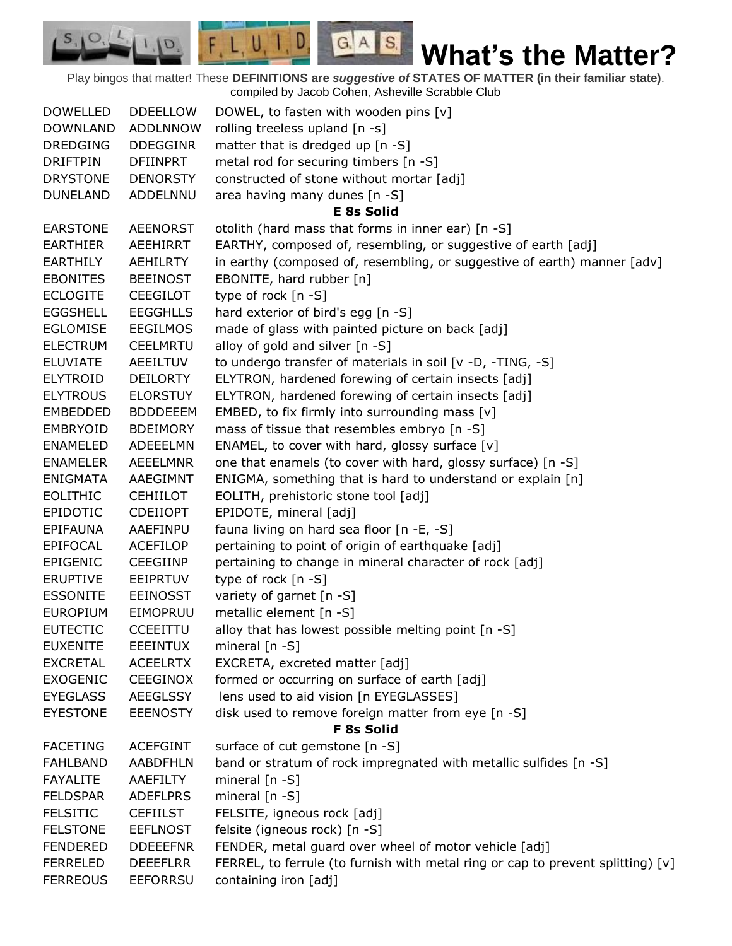Play bingos that matter! These **DEFINITIONS are** *suggestive of* **STATES OF MATTER (in their familiar state)**. compiled by Jacob Cohen, Asheville Scrabble Club

 $G.A.S.$ 

 $F, L, U, I, D$ 

D.

| <b>DDEELLOW</b> | DOWEL, to fasten with wooden pins $[v]$                                                                                                                                                                                                                                                                                                                                                                                                                                                                                                                                                                                                                                                                                                                            |
|-----------------|--------------------------------------------------------------------------------------------------------------------------------------------------------------------------------------------------------------------------------------------------------------------------------------------------------------------------------------------------------------------------------------------------------------------------------------------------------------------------------------------------------------------------------------------------------------------------------------------------------------------------------------------------------------------------------------------------------------------------------------------------------------------|
|                 | rolling treeless upland [n -s]                                                                                                                                                                                                                                                                                                                                                                                                                                                                                                                                                                                                                                                                                                                                     |
|                 | matter that is dredged up [n -S]                                                                                                                                                                                                                                                                                                                                                                                                                                                                                                                                                                                                                                                                                                                                   |
|                 | metal rod for securing timbers [n -S]                                                                                                                                                                                                                                                                                                                                                                                                                                                                                                                                                                                                                                                                                                                              |
|                 | constructed of stone without mortar [adj]                                                                                                                                                                                                                                                                                                                                                                                                                                                                                                                                                                                                                                                                                                                          |
|                 | area having many dunes [n -S]                                                                                                                                                                                                                                                                                                                                                                                                                                                                                                                                                                                                                                                                                                                                      |
|                 | <b>E 8s Solid</b>                                                                                                                                                                                                                                                                                                                                                                                                                                                                                                                                                                                                                                                                                                                                                  |
|                 | otolith (hard mass that forms in inner ear) [n -S]                                                                                                                                                                                                                                                                                                                                                                                                                                                                                                                                                                                                                                                                                                                 |
|                 | EARTHY, composed of, resembling, or suggestive of earth [adj]                                                                                                                                                                                                                                                                                                                                                                                                                                                                                                                                                                                                                                                                                                      |
|                 | in earthy (composed of, resembling, or suggestive of earth) manner [adv]                                                                                                                                                                                                                                                                                                                                                                                                                                                                                                                                                                                                                                                                                           |
|                 | EBONITE, hard rubber [n]                                                                                                                                                                                                                                                                                                                                                                                                                                                                                                                                                                                                                                                                                                                                           |
|                 | type of rock [n -S]                                                                                                                                                                                                                                                                                                                                                                                                                                                                                                                                                                                                                                                                                                                                                |
|                 | hard exterior of bird's egg [n -S]                                                                                                                                                                                                                                                                                                                                                                                                                                                                                                                                                                                                                                                                                                                                 |
|                 | made of glass with painted picture on back [adj]                                                                                                                                                                                                                                                                                                                                                                                                                                                                                                                                                                                                                                                                                                                   |
|                 | alloy of gold and silver [n -S]                                                                                                                                                                                                                                                                                                                                                                                                                                                                                                                                                                                                                                                                                                                                    |
|                 | to undergo transfer of materials in soil [v -D, -TING, -S]                                                                                                                                                                                                                                                                                                                                                                                                                                                                                                                                                                                                                                                                                                         |
|                 | ELYTRON, hardened forewing of certain insects [adj]                                                                                                                                                                                                                                                                                                                                                                                                                                                                                                                                                                                                                                                                                                                |
|                 | ELYTRON, hardened forewing of certain insects [adj]                                                                                                                                                                                                                                                                                                                                                                                                                                                                                                                                                                                                                                                                                                                |
|                 | EMBED, to fix firmly into surrounding mass [v]                                                                                                                                                                                                                                                                                                                                                                                                                                                                                                                                                                                                                                                                                                                     |
|                 | mass of tissue that resembles embryo [n -S]                                                                                                                                                                                                                                                                                                                                                                                                                                                                                                                                                                                                                                                                                                                        |
|                 | ENAMEL, to cover with hard, glossy surface [v]                                                                                                                                                                                                                                                                                                                                                                                                                                                                                                                                                                                                                                                                                                                     |
|                 | one that enamels (to cover with hard, glossy surface) [n -S]                                                                                                                                                                                                                                                                                                                                                                                                                                                                                                                                                                                                                                                                                                       |
|                 | ENIGMA, something that is hard to understand or explain [n]                                                                                                                                                                                                                                                                                                                                                                                                                                                                                                                                                                                                                                                                                                        |
|                 | EOLITH, prehistoric stone tool [adj]                                                                                                                                                                                                                                                                                                                                                                                                                                                                                                                                                                                                                                                                                                                               |
|                 | EPIDOTE, mineral [adj]                                                                                                                                                                                                                                                                                                                                                                                                                                                                                                                                                                                                                                                                                                                                             |
|                 | fauna living on hard sea floor [n -E, -S]                                                                                                                                                                                                                                                                                                                                                                                                                                                                                                                                                                                                                                                                                                                          |
|                 | pertaining to point of origin of earthquake [adj]                                                                                                                                                                                                                                                                                                                                                                                                                                                                                                                                                                                                                                                                                                                  |
|                 | pertaining to change in mineral character of rock [adj]                                                                                                                                                                                                                                                                                                                                                                                                                                                                                                                                                                                                                                                                                                            |
|                 | type of rock [n -S]                                                                                                                                                                                                                                                                                                                                                                                                                                                                                                                                                                                                                                                                                                                                                |
|                 | variety of garnet [n -S]                                                                                                                                                                                                                                                                                                                                                                                                                                                                                                                                                                                                                                                                                                                                           |
|                 | metallic element [n -S]                                                                                                                                                                                                                                                                                                                                                                                                                                                                                                                                                                                                                                                                                                                                            |
|                 | alloy that has lowest possible melting point [n -S]                                                                                                                                                                                                                                                                                                                                                                                                                                                                                                                                                                                                                                                                                                                |
|                 | mineral $[n - S]$                                                                                                                                                                                                                                                                                                                                                                                                                                                                                                                                                                                                                                                                                                                                                  |
|                 | EXCRETA, excreted matter [adj]                                                                                                                                                                                                                                                                                                                                                                                                                                                                                                                                                                                                                                                                                                                                     |
|                 | formed or occurring on surface of earth [adj]                                                                                                                                                                                                                                                                                                                                                                                                                                                                                                                                                                                                                                                                                                                      |
|                 | lens used to aid vision [n EYEGLASSES]                                                                                                                                                                                                                                                                                                                                                                                                                                                                                                                                                                                                                                                                                                                             |
|                 | disk used to remove foreign matter from eye [n -S]                                                                                                                                                                                                                                                                                                                                                                                                                                                                                                                                                                                                                                                                                                                 |
|                 | <b>F 8s Solid</b>                                                                                                                                                                                                                                                                                                                                                                                                                                                                                                                                                                                                                                                                                                                                                  |
|                 | surface of cut gemstone [n -S]                                                                                                                                                                                                                                                                                                                                                                                                                                                                                                                                                                                                                                                                                                                                     |
|                 | band or stratum of rock impregnated with metallic sulfides [n -S]                                                                                                                                                                                                                                                                                                                                                                                                                                                                                                                                                                                                                                                                                                  |
|                 | mineral $[n - S]$                                                                                                                                                                                                                                                                                                                                                                                                                                                                                                                                                                                                                                                                                                                                                  |
|                 | mineral $[n - S]$                                                                                                                                                                                                                                                                                                                                                                                                                                                                                                                                                                                                                                                                                                                                                  |
|                 | FELSITE, igneous rock [adj]                                                                                                                                                                                                                                                                                                                                                                                                                                                                                                                                                                                                                                                                                                                                        |
|                 | felsite (igneous rock) [n -S]                                                                                                                                                                                                                                                                                                                                                                                                                                                                                                                                                                                                                                                                                                                                      |
|                 | FENDER, metal guard over wheel of motor vehicle [adj]                                                                                                                                                                                                                                                                                                                                                                                                                                                                                                                                                                                                                                                                                                              |
| <b>DEEEFLRR</b> | FERREL, to ferrule (to furnish with metal ring or cap to prevent splitting) [v]                                                                                                                                                                                                                                                                                                                                                                                                                                                                                                                                                                                                                                                                                    |
| <b>EEFORRSU</b> | containing iron [adj]                                                                                                                                                                                                                                                                                                                                                                                                                                                                                                                                                                                                                                                                                                                                              |
|                 | <b>ADDLNNOW</b><br><b>DDEGGINR</b><br><b>DFIINPRT</b><br><b>DENORSTY</b><br>ADDELNNU<br><b>AEENORST</b><br>AEEHIRRT<br><b>AEHILRTY</b><br><b>BEEINOST</b><br><b>CEEGILOT</b><br><b>EEGGHLLS</b><br><b>EEGILMOS</b><br><b>CEELMRTU</b><br><b>AEEILTUV</b><br><b>DEILORTY</b><br><b>ELORSTUY</b><br><b>BDDDEEEM</b><br><b>BDEIMORY</b><br>ADEEELMN<br><b>AEEELMNR</b><br>AAEGIMNT<br><b>CEHIILOT</b><br><b>CDEIIOPT</b><br>AAEFINPU<br><b>ACEFILOP</b><br><b>CEEGIINP</b><br><b>EEIPRTUV</b><br><b>EEINOSST</b><br>EIMOPRUU<br><b>CCEEITTU</b><br><b>EEEINTUX</b><br><b>ACEELRTX</b><br>CEEGINOX<br><b>AEEGLSSY</b><br><b>EEENOSTY</b><br><b>ACEFGINT</b><br><b>AABDFHLN</b><br>AAEFILTY<br><b>ADEFLPRS</b><br><b>CEFIILST</b><br><b>EEFLNOST</b><br><b>DDEEEFNR</b> |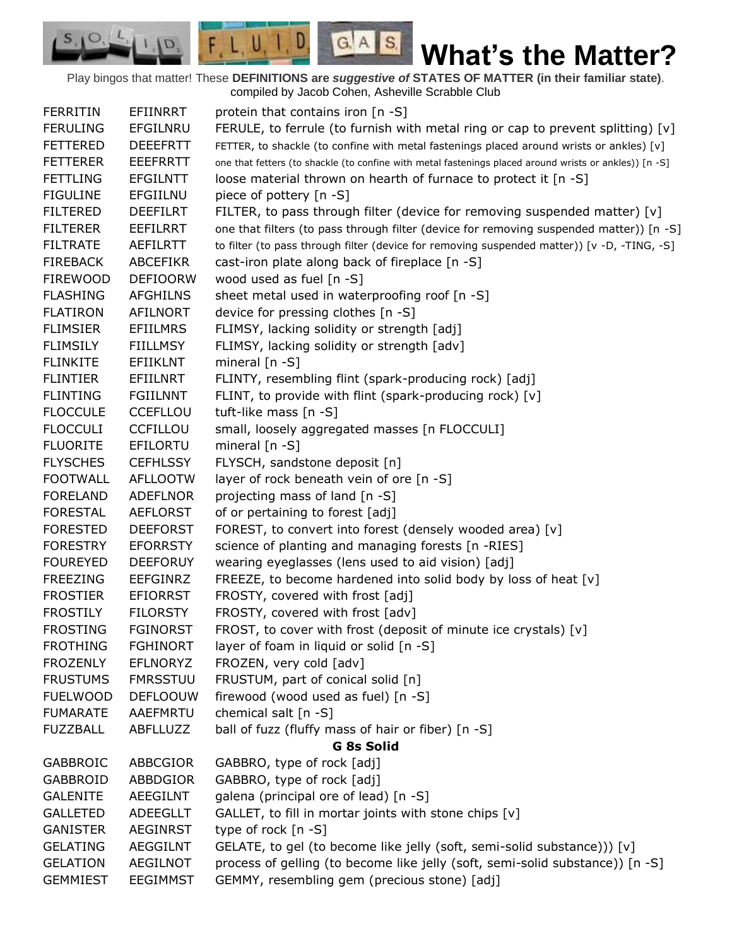Play bingos that matter! These **DEFINITIONS are** *suggestive of* **STATES OF MATTER (in their familiar state)**. compiled by Jacob Cohen, Asheville Scrabble Club

 $G.A.S.$ 

 $F, L, U, I, D$ 

D.

 $S_{1}$  $\mathcal{O},$ 

| <b>FERRITIN</b> | EFIINRRT        | protein that contains iron [n -S]                                                                      |
|-----------------|-----------------|--------------------------------------------------------------------------------------------------------|
| <b>FERULING</b> | EFGILNRU        | FERULE, to ferrule (to furnish with metal ring or cap to prevent splitting) [v]                        |
| <b>FETTERED</b> | <b>DEEEFRTT</b> | FETTER, to shackle (to confine with metal fastenings placed around wrists or ankles) [v]               |
| <b>FETTERER</b> | <b>EEEFRRTT</b> | one that fetters (to shackle (to confine with metal fastenings placed around wrists or ankles)) [n -S] |
| <b>FETTLING</b> | <b>EFGILNTT</b> | loose material thrown on hearth of furnace to protect it [n -S]                                        |
| <b>FIGULINE</b> | EFGIILNU        | piece of pottery [n -S]                                                                                |
| <b>FILTERED</b> | <b>DEEFILRT</b> | FILTER, to pass through filter (device for removing suspended matter) $[v]$                            |
| <b>FILTERER</b> | <b>EEFILRRT</b> | one that filters (to pass through filter (device for removing suspended matter)) [n -S]                |
| <b>FILTRATE</b> | <b>AEFILRTT</b> | to filter (to pass through filter (device for removing suspended matter)) [v -D, -TING, -S]            |
| <b>FIREBACK</b> | <b>ABCEFIKR</b> | cast-iron plate along back of fireplace [n -S]                                                         |
| <b>FIREWOOD</b> | <b>DEFIOORW</b> | wood used as fuel [n -S]                                                                               |
| <b>FLASHING</b> | <b>AFGHILNS</b> | sheet metal used in waterproofing roof [n -S]                                                          |
| <b>FLATIRON</b> | AFILNORT        | device for pressing clothes [n -S]                                                                     |
| <b>FLIMSIER</b> | <b>EFIILMRS</b> | FLIMSY, lacking solidity or strength [adj]                                                             |
| <b>FLIMSILY</b> | <b>FIILLMSY</b> | FLIMSY, lacking solidity or strength [adv]                                                             |
| <b>FLINKITE</b> | <b>EFIIKLNT</b> | mineral $[n - S]$                                                                                      |
| <b>FLINTIER</b> | EFIILNRT        | FLINTY, resembling flint (spark-producing rock) [adj]                                                  |
| <b>FLINTING</b> | <b>FGIILNNT</b> | FLINT, to provide with flint (spark-producing rock) [v]                                                |
| <b>FLOCCULE</b> | <b>CCEFLLOU</b> | tuft-like mass [n -S]                                                                                  |
| <b>FLOCCULI</b> | <b>CCFILLOU</b> | small, loosely aggregated masses [n FLOCCULI]                                                          |
| <b>FLUORITE</b> | EFILORTU        | mineral $[n - S]$                                                                                      |
| <b>FLYSCHES</b> | <b>CEFHLSSY</b> | FLYSCH, sandstone deposit [n]                                                                          |
| <b>FOOTWALL</b> | <b>AFLLOOTW</b> | layer of rock beneath vein of ore [n -S]                                                               |
| <b>FORELAND</b> | <b>ADEFLNOR</b> | projecting mass of land [n -S]                                                                         |
| <b>FORESTAL</b> | <b>AEFLORST</b> | of or pertaining to forest [adj]                                                                       |
| <b>FORESTED</b> | <b>DEEFORST</b> | FOREST, to convert into forest (densely wooded area) [v]                                               |
| <b>FORESTRY</b> | <b>EFORRSTY</b> | science of planting and managing forests [n -RIES]                                                     |
| <b>FOUREYED</b> | <b>DEEFORUY</b> | wearing eyeglasses (lens used to aid vision) [adj]                                                     |
| <b>FREEZING</b> | <b>EEFGINRZ</b> | FREEZE, to become hardened into solid body by loss of heat [v]                                         |
| <b>FROSTIER</b> | <b>EFIORRST</b> | FROSTY, covered with frost [adj]                                                                       |
| <b>FROSTILY</b> | <b>FILORSTY</b> | FROSTY, covered with frost [adv]                                                                       |
| <b>FROSTING</b> | <b>FGINORST</b> | FROST, to cover with frost (deposit of minute ice crystals) [v]                                        |
| <b>FROTHING</b> | <b>FGHINORT</b> | layer of foam in liquid or solid [n -S]                                                                |
| <b>FROZENLY</b> | <b>EFLNORYZ</b> | FROZEN, very cold [adv]                                                                                |
| <b>FRUSTUMS</b> | <b>FMRSSTUU</b> | FRUSTUM, part of conical solid [n]                                                                     |
| <b>FUELWOOD</b> | <b>DEFLOOUW</b> | firewood (wood used as fuel) [n -S]                                                                    |
| <b>FUMARATE</b> | <b>AAEFMRTU</b> | chemical salt [n -S]                                                                                   |
| <b>FUZZBALL</b> | ABFLLUZZ        | ball of fuzz (fluffy mass of hair or fiber) [n -S]                                                     |
|                 |                 | <b>G 8s Solid</b>                                                                                      |
| <b>GABBROIC</b> | ABBCGIOR        | GABBRO, type of rock [adj]                                                                             |
| <b>GABBROID</b> | ABBDGIOR        | GABBRO, type of rock [adj]                                                                             |
| <b>GALENITE</b> | AEEGILNT        | galena (principal ore of lead) [n -S]                                                                  |
| <b>GALLETED</b> | <b>ADEEGLLT</b> | GALLET, to fill in mortar joints with stone chips [v]                                                  |
| <b>GANISTER</b> | <b>AEGINRST</b> | type of rock [n -S]                                                                                    |
| <b>GELATING</b> | <b>AEGGILNT</b> | GELATE, to gel (to become like jelly (soft, semi-solid substance))) [v]                                |
| <b>GELATION</b> | <b>AEGILNOT</b> | process of gelling (to become like jelly (soft, semi-solid substance)) [n -S]                          |
| <b>GEMMIEST</b> | <b>EEGIMMST</b> | GEMMY, resembling gem (precious stone) [adj]                                                           |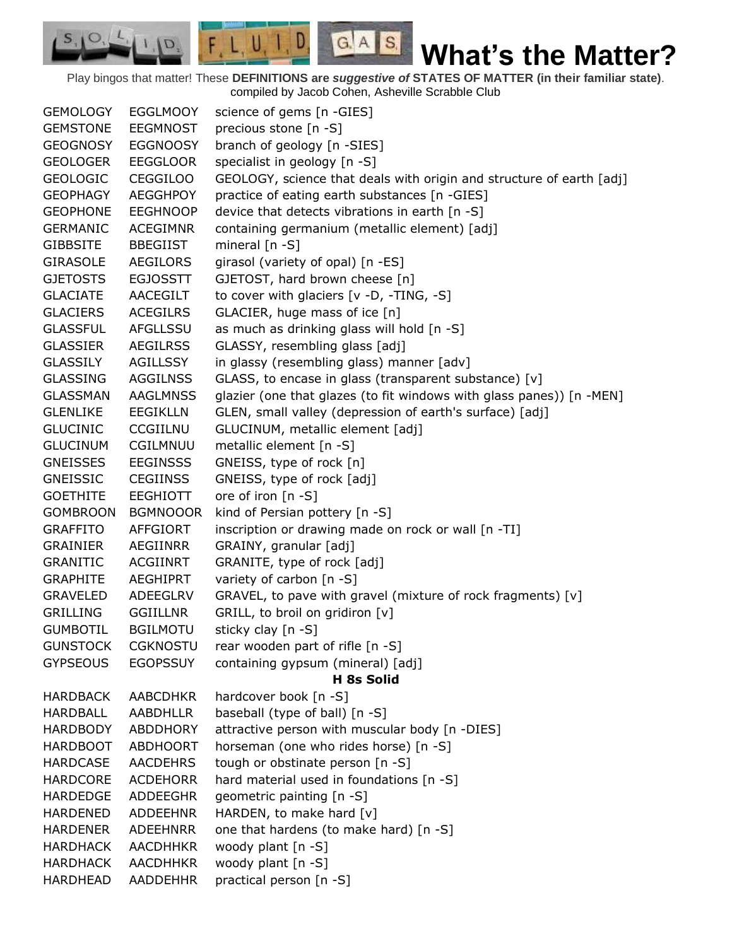Play bingos that matter! These **DEFINITIONS are** *suggestive of* **STATES OF MATTER (in their familiar state)**. compiled by Jacob Cohen, Asheville Scrabble Club

 $G.A.S.$ 

 $F, L, U, I, D$ 

D.

| <b>GEMOLOGY</b> | <b>EGGLMOOY</b> | science of gems [n -GIES]                                            |
|-----------------|-----------------|----------------------------------------------------------------------|
| <b>GEMSTONE</b> | <b>EEGMNOST</b> | precious stone [n -S]                                                |
| <b>GEOGNOSY</b> | <b>EGGNOOSY</b> | branch of geology [n -SIES]                                          |
| <b>GEOLOGER</b> | <b>EEGGLOOR</b> | specialist in geology [n -S]                                         |
| <b>GEOLOGIC</b> | <b>CEGGILOO</b> | GEOLOGY, science that deals with origin and structure of earth [adj] |
| <b>GEOPHAGY</b> | <b>AEGGHPOY</b> | practice of eating earth substances [n -GIES]                        |
| <b>GEOPHONE</b> | <b>EEGHNOOP</b> | device that detects vibrations in earth [n -S]                       |
| <b>GERMANIC</b> | <b>ACEGIMNR</b> | containing germanium (metallic element) [adj]                        |
| <b>GIBBSITE</b> | <b>BBEGIIST</b> | mineral $[n - S]$                                                    |
| <b>GIRASOLE</b> | AEGILORS        | girasol (variety of opal) [n -ES]                                    |
| <b>GJETOSTS</b> | <b>EGJOSSTT</b> | GJETOST, hard brown cheese [n]                                       |
| <b>GLACIATE</b> | <b>AACEGILT</b> | to cover with glaciers [v -D, -TING, -S]                             |
| <b>GLACIERS</b> | <b>ACEGILRS</b> | GLACIER, huge mass of ice [n]                                        |
| <b>GLASSFUL</b> | AFGLLSSU        | as much as drinking glass will hold [n -S]                           |
| <b>GLASSIER</b> | <b>AEGILRSS</b> | GLASSY, resembling glass [adj]                                       |
| <b>GLASSILY</b> | <b>AGILLSSY</b> | in glassy (resembling glass) manner [adv]                            |
| <b>GLASSING</b> | <b>AGGILNSS</b> | GLASS, to encase in glass (transparent substance) [v]                |
| <b>GLASSMAN</b> | <b>AAGLMNSS</b> | glazier (one that glazes (to fit windows with glass panes)) [n -MEN] |
| <b>GLENLIKE</b> | <b>EEGIKLLN</b> | GLEN, small valley (depression of earth's surface) [adj]             |
| <b>GLUCINIC</b> | <b>CCGIILNU</b> | GLUCINUM, metallic element [adj]                                     |
| <b>GLUCINUM</b> | CGILMNUU        | metallic element [n -S]                                              |
| <b>GNEISSES</b> | <b>EEGINSSS</b> | GNEISS, type of rock [n]                                             |
| <b>GNEISSIC</b> | <b>CEGIINSS</b> | GNEISS, type of rock [adj]                                           |
| <b>GOETHITE</b> | <b>EEGHIOTT</b> | ore of iron [n -S]                                                   |
| <b>GOMBROON</b> | <b>BGMNOOOR</b> | kind of Persian pottery [n -S]                                       |
| <b>GRAFFITO</b> | <b>AFFGIORT</b> | inscription or drawing made on rock or wall [n -TI]                  |
| <b>GRAINIER</b> | <b>AEGIINRR</b> | GRAINY, granular [adj]                                               |
| <b>GRANITIC</b> | <b>ACGIINRT</b> | GRANITE, type of rock [adj]                                          |
| <b>GRAPHITE</b> | <b>AEGHIPRT</b> | variety of carbon [n -S]                                             |
| <b>GRAVELED</b> | <b>ADEEGLRV</b> | GRAVEL, to pave with gravel (mixture of rock fragments) [v]          |
| <b>GRILLING</b> | <b>GGIILLNR</b> | GRILL, to broil on gridiron [v]                                      |
| <b>GUMBOTIL</b> | <b>BGILMOTU</b> | sticky clay [n -S]                                                   |
| <b>GUNSTOCK</b> | <b>CGKNOSTU</b> | rear wooden part of rifle [n -S]                                     |
| <b>GYPSEOUS</b> | <b>EGOPSSUY</b> | containing gypsum (mineral) [adj]                                    |
|                 |                 | H 8s Solid                                                           |
| <b>HARDBACK</b> | <b>AABCDHKR</b> | hardcover book [n -S]                                                |
| <b>HARDBALL</b> | <b>AABDHLLR</b> | baseball (type of ball) [n -S]                                       |
| <b>HARDBODY</b> | <b>ABDDHORY</b> | attractive person with muscular body [n -DIES]                       |
| <b>HARDBOOT</b> | <b>ABDHOORT</b> | horseman (one who rides horse) [n -S]                                |
| <b>HARDCASE</b> | AACDEHRS        | tough or obstinate person [n -S]                                     |
| <b>HARDCORE</b> | <b>ACDEHORR</b> | hard material used in foundations [n -S]                             |
| <b>HARDEDGE</b> | <b>ADDEEGHR</b> | geometric painting [n -S]                                            |
| <b>HARDENED</b> | <b>ADDEEHNR</b> | HARDEN, to make hard [v]                                             |
| <b>HARDENER</b> | <b>ADEEHNRR</b> | one that hardens (to make hard) [n -S]                               |
| <b>HARDHACK</b> | <b>AACDHHKR</b> | woody plant [n -S]                                                   |
| <b>HARDHACK</b> | <b>AACDHHKR</b> | woody plant [n -S]                                                   |
| <b>HARDHEAD</b> | <b>AADDEHHR</b> | practical person [n -S]                                              |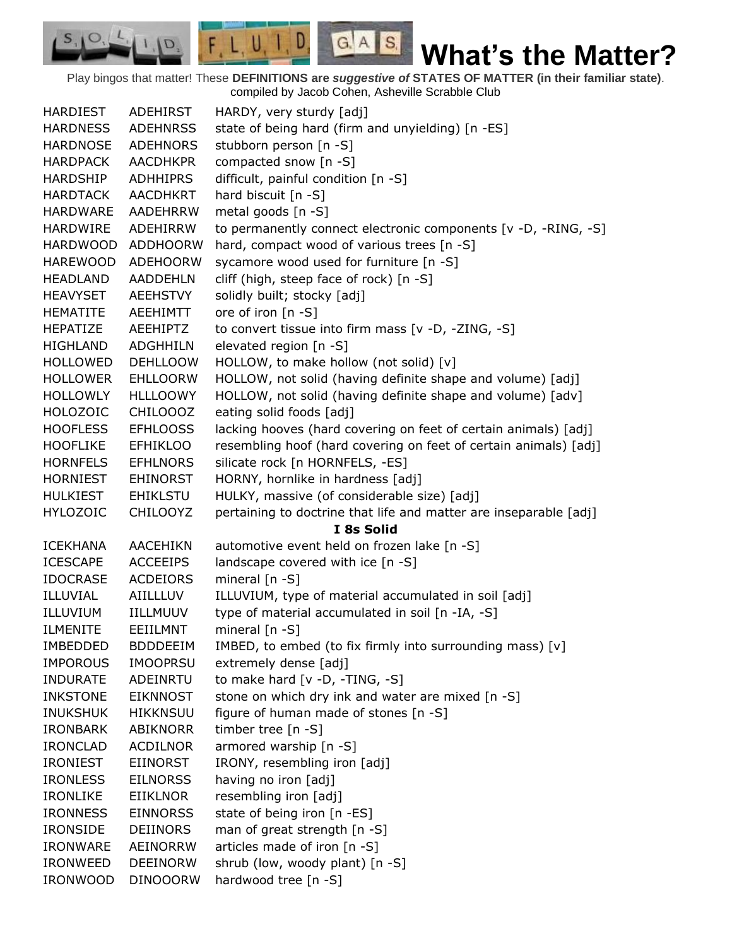Play bingos that matter! These **DEFINITIONS are** *suggestive of* **STATES OF MATTER (in their familiar state)**. compiled by Jacob Cohen, Asheville Scrabble Club

 $G.A.S.$ 

 $F, L, U, I, D$ 

D.

| <b>HARDIEST</b> | ADEHIRST        | HARDY, very sturdy [adj]                                          |
|-----------------|-----------------|-------------------------------------------------------------------|
| <b>HARDNESS</b> | <b>ADEHNRSS</b> | state of being hard (firm and unyielding) [n -ES]                 |
| <b>HARDNOSE</b> | <b>ADEHNORS</b> | stubborn person [n -S]                                            |
| <b>HARDPACK</b> | <b>AACDHKPR</b> | compacted snow [n -S]                                             |
| <b>HARDSHIP</b> | ADHHIPRS        | difficult, painful condition [n -S]                               |
| <b>HARDTACK</b> | <b>AACDHKRT</b> | hard biscuit [n -S]                                               |
| <b>HARDWARE</b> | <b>AADEHRRW</b> | metal goods [n -S]                                                |
| <b>HARDWIRE</b> | ADEHIRRW        | to permanently connect electronic components [v -D, -RING, -S]    |
| <b>HARDWOOD</b> | <b>ADDHOORW</b> | hard, compact wood of various trees [n -S]                        |
| <b>HAREWOOD</b> | <b>ADEHOORW</b> | sycamore wood used for furniture [n -S]                           |
| <b>HEADLAND</b> | <b>AADDEHLN</b> | cliff (high, steep face of rock) [n -S]                           |
| <b>HEAVYSET</b> | AEEHSTVY        | solidly built; stocky [adj]                                       |
| <b>HEMATITE</b> | AEEHIMTT        | ore of iron [n -S]                                                |
| HEPATIZE        | AEEHIPTZ        | to convert tissue into firm mass [v -D, -ZING, -S]                |
| <b>HIGHLAND</b> | <b>ADGHHILN</b> | elevated region [n -S]                                            |
| <b>HOLLOWED</b> | <b>DEHLLOOW</b> | HOLLOW, to make hollow (not solid) [v]                            |
| <b>HOLLOWER</b> | <b>EHLLOORW</b> | HOLLOW, not solid (having definite shape and volume) [adj]        |
| <b>HOLLOWLY</b> | <b>HLLLOOWY</b> | HOLLOW, not solid (having definite shape and volume) [adv]        |
| <b>HOLOZOIC</b> | CHILOOOZ        | eating solid foods [adj]                                          |
| <b>HOOFLESS</b> | <b>EFHLOOSS</b> | lacking hooves (hard covering on feet of certain animals) [adj]   |
| <b>HOOFLIKE</b> | <b>EFHIKLOO</b> | resembling hoof (hard covering on feet of certain animals) [adj]  |
| <b>HORNFELS</b> | <b>EFHLNORS</b> | silicate rock [n HORNFELS, -ES]                                   |
| <b>HORNIEST</b> | EHINORST        | HORNY, hornlike in hardness [adj]                                 |
| <b>HULKIEST</b> | <b>EHIKLSTU</b> | HULKY, massive (of considerable size) [adj]                       |
| <b>HYLOZOIC</b> | <b>CHILOOYZ</b> | pertaining to doctrine that life and matter are inseparable [adj] |
|                 |                 | I 8s Solid                                                        |
| <b>ICEKHANA</b> | AACEHIKN        | automotive event held on frozen lake [n -S]                       |
| <b>ICESCAPE</b> | <b>ACCEEIPS</b> | landscape covered with ice [n -S]                                 |
| <b>IDOCRASE</b> | <b>ACDEIORS</b> | mineral [n -S]                                                    |
| ILLUVIAL        | AIILLLUV        | ILLUVIUM, type of material accumulated in soil [adj]              |
| ILLUVIUM        | <b>IILLMUUV</b> | type of material accumulated in soil [n -IA, -S]                  |
| <b>ILMENITE</b> | EEIILMNT        | mineral $[n - S]$                                                 |
| <b>IMBEDDED</b> | <b>BDDDEEIM</b> | IMBED, to embed (to fix firmly into surrounding mass) [v]         |
| <b>IMPOROUS</b> | <b>IMOOPRSU</b> | extremely dense [adj]                                             |
| <b>INDURATE</b> | ADEINRTU        | to make hard [v -D, -TING, -S]                                    |
| <b>INKSTONE</b> | <b>EIKNNOST</b> | stone on which dry ink and water are mixed [n -S]                 |
| <b>INUKSHUK</b> | <b>HIKKNSUU</b> | figure of human made of stones [n -S]                             |
| <b>IRONBARK</b> | ABIKNORR        | timber tree [n -S]                                                |
| <b>IRONCLAD</b> | <b>ACDILNOR</b> | armored warship [n -S]                                            |
| <b>IRONIEST</b> | <b>EIINORST</b> | IRONY, resembling iron [adj]                                      |
| <b>IRONLESS</b> | <b>EILNORSS</b> | having no iron [adj]                                              |
| <b>IRONLIKE</b> | <b>EIIKLNOR</b> | resembling iron [adj]                                             |
| <b>IRONNESS</b> | <b>EINNORSS</b> | state of being iron [n -ES]                                       |
| <b>IRONSIDE</b> | <b>DEIINORS</b> | man of great strength [n -S]                                      |
| <b>IRONWARE</b> | AEINORRW        | articles made of iron [n -S]                                      |
| <b>IRONWEED</b> | <b>DEEINORW</b> | shrub (low, woody plant) [n -S]                                   |
| <b>IRONWOOD</b> | <b>DINOOORW</b> | hardwood tree [n -S]                                              |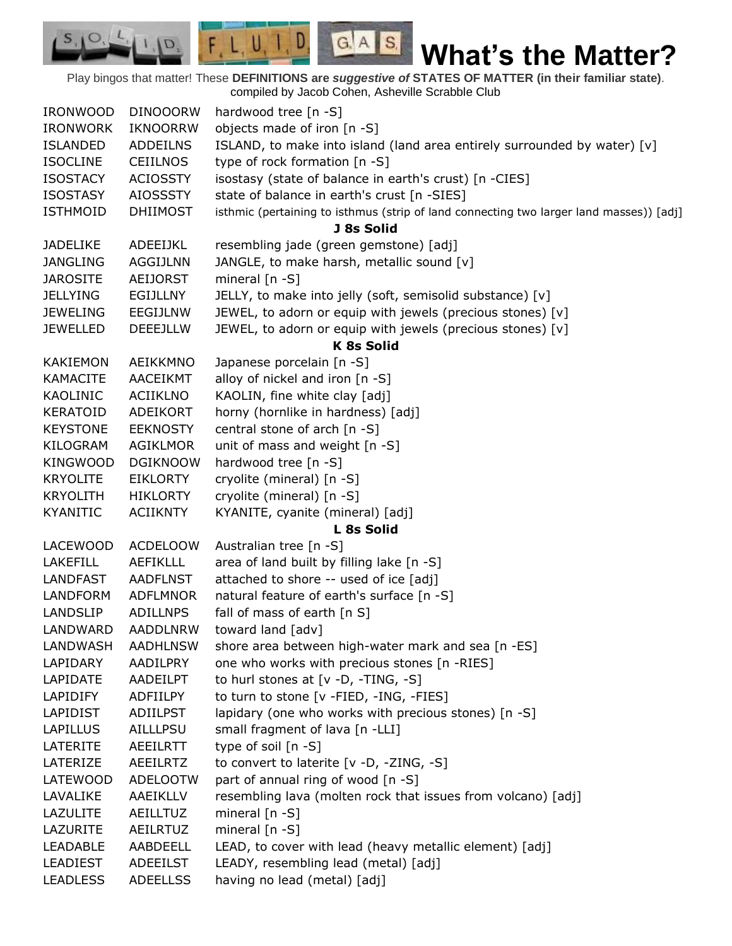Play bingos that matter! These **DEFINITIONS are** *suggestive of* **STATES OF MATTER (in their familiar state)**. compiled by Jacob Cohen, Asheville Scrabble Club

 $G.A.S.$ 

 $F, L, U, I, D$ 

D.

| <b>IRONWOOD</b> | <b>DINOOORW</b> | hardwood tree [n -S]                                                                    |
|-----------------|-----------------|-----------------------------------------------------------------------------------------|
| <b>IRONWORK</b> | <b>IKNOORRW</b> | objects made of iron [n -S]                                                             |
| <b>ISLANDED</b> | <b>ADDEILNS</b> | ISLAND, to make into island (land area entirely surrounded by water) [v]                |
| <b>ISOCLINE</b> | <b>CEIILNOS</b> | type of rock formation [n -S]                                                           |
| <b>ISOSTACY</b> | <b>ACIOSSTY</b> | isostasy (state of balance in earth's crust) [n -CIES]                                  |
| <b>ISOSTASY</b> | <b>AIOSSSTY</b> | state of balance in earth's crust [n -SIES]                                             |
| <b>ISTHMOID</b> | <b>DHIIMOST</b> | isthmic (pertaining to isthmus (strip of land connecting two larger land masses)) [adj] |
|                 |                 | J 8s Solid                                                                              |
| <b>JADELIKE</b> | ADEEIJKL        | resembling jade (green gemstone) [adj]                                                  |
| <b>JANGLING</b> | <b>AGGIJLNN</b> | JANGLE, to make harsh, metallic sound [v]                                               |
| <b>JAROSITE</b> | <b>AEIJORST</b> | mineral $[n - S]$                                                                       |
| <b>JELLYING</b> | <b>EGIJLLNY</b> | JELLY, to make into jelly (soft, semisolid substance) [v]                               |
| <b>JEWELING</b> | EEGIJLNW        | JEWEL, to adorn or equip with jewels (precious stones) [v]                              |
| <b>JEWELLED</b> | <b>DEEEJLLW</b> | JEWEL, to adorn or equip with jewels (precious stones) [v]                              |
|                 |                 | <b>K 8s Solid</b>                                                                       |
| <b>KAKIEMON</b> | AEIKKMNO        | Japanese porcelain [n -S]                                                               |
| <b>KAMACITE</b> | AACEIKMT        | alloy of nickel and iron [n -S]                                                         |
| KAOLINIC        | <b>ACIIKLNO</b> | KAOLIN, fine white clay [adj]                                                           |
| <b>KERATOID</b> | ADEIKORT        | horny (hornlike in hardness) [adj]                                                      |
| <b>KEYSTONE</b> | <b>EEKNOSTY</b> | central stone of arch [n -S]                                                            |
| KILOGRAM        | <b>AGIKLMOR</b> | unit of mass and weight [n -S]                                                          |
| <b>KINGWOOD</b> | <b>DGIKNOOW</b> | hardwood tree [n -S]                                                                    |
| <b>KRYOLITE</b> | <b>EIKLORTY</b> | cryolite (mineral) [n -S]                                                               |
| <b>KRYOLITH</b> | <b>HIKLORTY</b> | cryolite (mineral) [n -S]                                                               |
| <b>KYANITIC</b> | <b>ACIIKNTY</b> | KYANITE, cyanite (mineral) [adj]                                                        |
|                 |                 | L 8s Solid                                                                              |
| <b>LACEWOOD</b> | <b>ACDELOOW</b> | Australian tree [n -S]                                                                  |
| <b>LAKEFILL</b> | <b>AEFIKLLL</b> | area of land built by filling lake [n -S]                                               |
| <b>LANDFAST</b> | <b>AADFLNST</b> | attached to shore -- used of ice [adj]                                                  |
| LANDFORM        | <b>ADFLMNOR</b> | natural feature of earth's surface [n -S]                                               |
| <b>LANDSLIP</b> | <b>ADILLNPS</b> | fall of mass of earth [n S]                                                             |
| LANDWARD        | <b>AADDLNRW</b> | toward land [adv]                                                                       |
| LANDWASH        | <b>AADHLNSW</b> | shore area between high-water mark and sea [n -ES]                                      |
| LAPIDARY        | AADILPRY        | one who works with precious stones [n -RIES]                                            |
| LAPIDATE        | AADEILPT        | to hurl stones at [v -D, -TING, -S]                                                     |
| LAPIDIFY        | ADFIILPY        | to turn to stone [v -FIED, -ING, -FIES]                                                 |
| LAPIDIST        | <b>ADIILPST</b> | lapidary (one who works with precious stones) [n -S]                                    |
| LAPILLUS        | AILLLPSU        | small fragment of lava [n -LLI]                                                         |
| LATERITE        | <b>AEEILRTT</b> | type of soil [n -S]                                                                     |
| LATERIZE        | <b>AEEILRTZ</b> | to convert to laterite [v -D, -ZING, -S]                                                |
| LATEWOOD        | <b>ADELOOTW</b> | part of annual ring of wood [n -S]                                                      |
| LAVALIKE        | AAEIKLLV        | resembling lava (molten rock that issues from volcano) [adj]                            |
| LAZULITE        | AEILLTUZ        | mineral $[n - S]$                                                                       |
| LAZURITE        | <b>AEILRTUZ</b> | mineral [n -S]                                                                          |
| <b>LEADABLE</b> | AABDEELL        | LEAD, to cover with lead (heavy metallic element) [adj]                                 |
| <b>LEADIEST</b> | <b>ADEEILST</b> | LEADY, resembling lead (metal) [adj]                                                    |
| <b>LEADLESS</b> | <b>ADEELLSS</b> | having no lead (metal) [adj]                                                            |
|                 |                 |                                                                                         |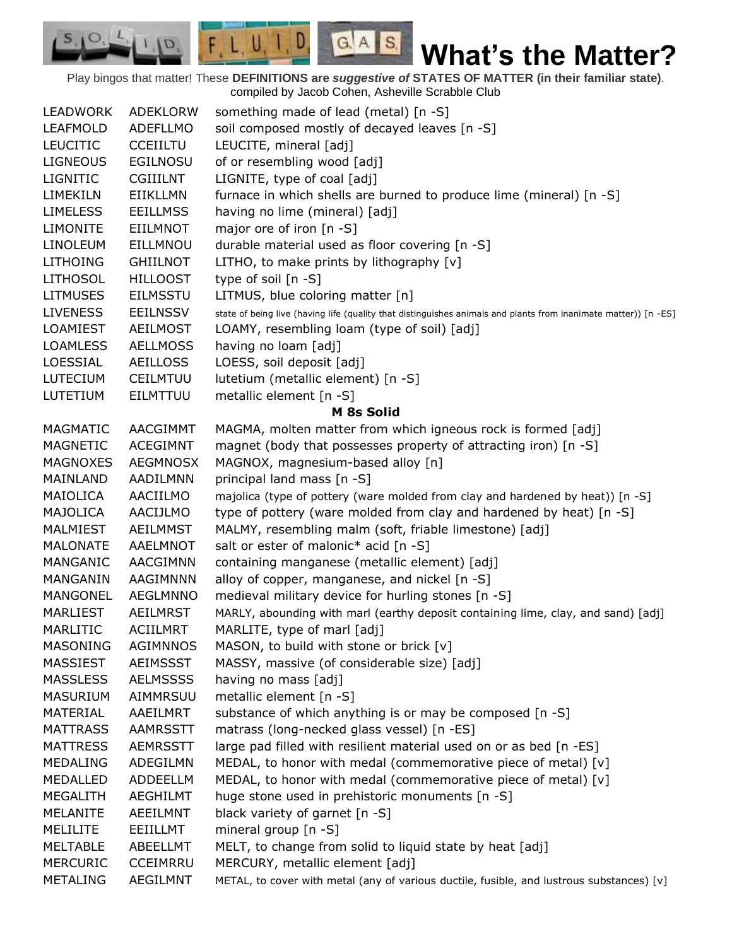Play bingos that matter! These **DEFINITIONS are** *suggestive of* **STATES OF MATTER (in their familiar state)**. compiled by Jacob Cohen, Asheville Scrabble Club

 $G.A.S.$ 

 $F, L, U, I, D$ 

D.

| <b>LEADWORK</b> | ADEKLORW        | something made of lead (metal) [n -S]                                                                           |
|-----------------|-----------------|-----------------------------------------------------------------------------------------------------------------|
| <b>LEAFMOLD</b> | ADEFLLMO        | soil composed mostly of decayed leaves [n -S]                                                                   |
| <b>LEUCITIC</b> | <b>CCEIILTU</b> | LEUCITE, mineral [adj]                                                                                          |
| <b>LIGNEOUS</b> | <b>EGILNOSU</b> | of or resembling wood [adj]                                                                                     |
| <b>LIGNITIC</b> | <b>CGIIILNT</b> | LIGNITE, type of coal [adj]                                                                                     |
| LIMEKILN        | <b>EIIKLLMN</b> | furnace in which shells are burned to produce lime (mineral) [n -S]                                             |
| <b>LIMELESS</b> | <b>EEILLMSS</b> | having no lime (mineral) [adj]                                                                                  |
| <b>LIMONITE</b> | <b>EIILMNOT</b> | major ore of iron [n -S]                                                                                        |
| <b>LINOLEUM</b> | EILLMNOU        | durable material used as floor covering [n -S]                                                                  |
| <b>LITHOING</b> | <b>GHIILNOT</b> | LITHO, to make prints by lithography [v]                                                                        |
| <b>LITHOSOL</b> | <b>HILLOOST</b> | type of soil [n -S]                                                                                             |
| <b>LITMUSES</b> | <b>EILMSSTU</b> | LITMUS, blue coloring matter [n]                                                                                |
| <b>LIVENESS</b> | <b>EEILNSSV</b> | state of being live (having life (quality that distinguishes animals and plants from inanimate matter)) [n -ES] |
| <b>LOAMIEST</b> | <b>AEILMOST</b> | LOAMY, resembling loam (type of soil) [adj]                                                                     |
| <b>LOAMLESS</b> | <b>AELLMOSS</b> | having no loam [adj]                                                                                            |
| LOESSIAL        | <b>AEILLOSS</b> | LOESS, soil deposit [adj]                                                                                       |
| LUTECIUM        | <b>CEILMTUU</b> | lutetium (metallic element) [n -S]                                                                              |
| LUTETIUM        | EILMTTUU        | metallic element [n -S]                                                                                         |
|                 |                 | M 8s Solid                                                                                                      |
| <b>MAGMATIC</b> | AACGIMMT        | MAGMA, molten matter from which igneous rock is formed [adj]                                                    |
| <b>MAGNETIC</b> | <b>ACEGIMNT</b> | magnet (body that possesses property of attracting iron) [n -S]                                                 |
| <b>MAGNOXES</b> | <b>AEGMNOSX</b> | MAGNOX, magnesium-based alloy [n]                                                                               |
| MAINLAND        | AADILMNN        | principal land mass [n -S]                                                                                      |
| MAIOLICA        | AACIILMO        | majolica (type of pottery (ware molded from clay and hardened by heat)) [n -S]                                  |
| MAJOLICA        | AACIJLMO        | type of pottery (ware molded from clay and hardened by heat) [n -S]                                             |
| MALMIEST        | <b>AEILMMST</b> | MALMY, resembling malm (soft, friable limestone) [adj]                                                          |
| <b>MALONATE</b> | AAELMNOT        | salt or ester of malonic* acid [n -S]                                                                           |
| MANGANIC        | <b>AACGIMNN</b> | containing manganese (metallic element) [adj]                                                                   |
| MANGANIN        | AAGIMNNN        | alloy of copper, manganese, and nickel [n -S]                                                                   |
| MANGONEL        | <b>AEGLMNNO</b> | medieval military device for hurling stones [n -S]                                                              |
|                 |                 |                                                                                                                 |
| <b>MARLIEST</b> | <b>AEILMRST</b> | MARLY, abounding with marl (earthy deposit containing lime, clay, and sand) [adj]                               |
| MARLITIC        | <b>ACIILMRT</b> | MARLITE, type of marl [adj]                                                                                     |
| <b>MASONING</b> | <b>AGIMNNOS</b> | MASON, to build with stone or brick $[v]$                                                                       |
| <b>MASSIEST</b> | <b>AEIMSSST</b> | MASSY, massive (of considerable size) [adj]                                                                     |
| <b>MASSLESS</b> | <b>AELMSSSS</b> | having no mass [adj]                                                                                            |
| <b>MASURIUM</b> | AIMMRSUU        | metallic element [n -S]                                                                                         |
| MATERIAL        | AAEILMRT        | substance of which anything is or may be composed [n -S]                                                        |
| <b>MATTRASS</b> | <b>AAMRSSTT</b> | matrass (long-necked glass vessel) [n -ES]                                                                      |
| <b>MATTRESS</b> | <b>AEMRSSTT</b> | large pad filled with resilient material used on or as bed [n -ES]                                              |
| MEDALING        | ADEGILMN        | MEDAL, to honor with medal (commemorative piece of metal) [v]                                                   |
| MEDALLED        | ADDEELLM        | MEDAL, to honor with medal (commemorative piece of metal) [v]                                                   |
| <b>MEGALITH</b> | <b>AEGHILMT</b> | huge stone used in prehistoric monuments [n -S]                                                                 |
| <b>MELANITE</b> | <b>AEEILMNT</b> | black variety of garnet [n -S]                                                                                  |
| <b>MELILITE</b> | EEIILLMT        | mineral group [n -S]                                                                                            |
| <b>MELTABLE</b> | ABEELLMT        | MELT, to change from solid to liquid state by heat [adj]                                                        |
| <b>MERCURIC</b> | <b>CCEIMRRU</b> | MERCURY, metallic element [adj]                                                                                 |
| <b>METALING</b> | <b>AEGILMNT</b> | METAL, to cover with metal (any of various ductile, fusible, and lustrous substances) [v]                       |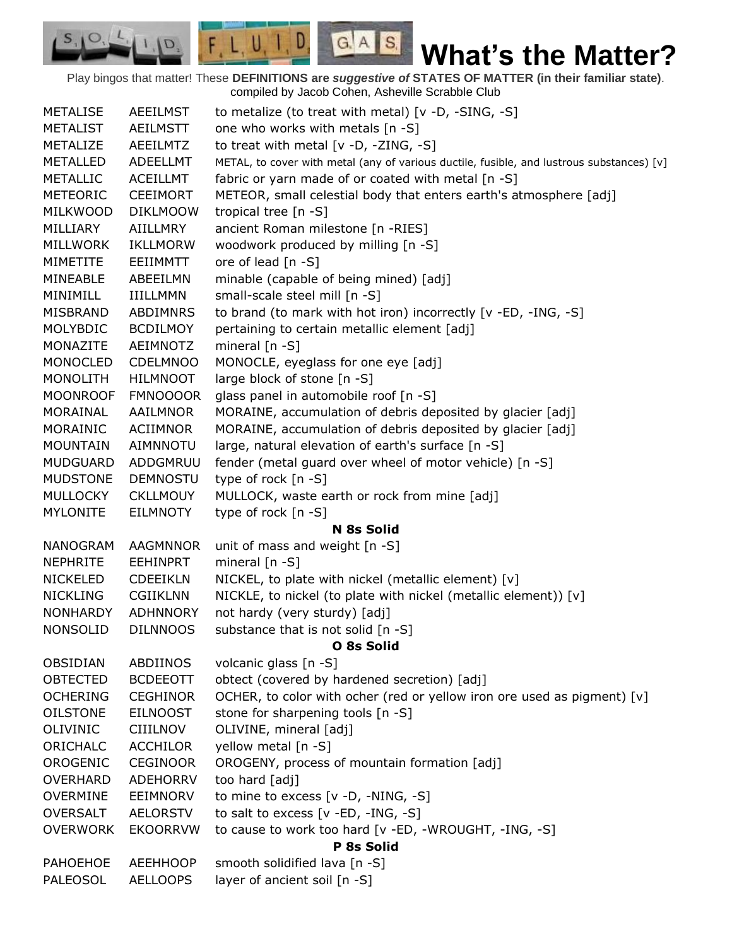Play bingos that matter! These **DEFINITIONS are** *suggestive of* **STATES OF MATTER (in their familiar state)**. compiled by Jacob Cohen, Asheville Scrabble Club

 $G.A.S.$ 

 $F, L, U, I, D$ 

 $\mathcal{O},$  $S_{11}$ 

D.

| <b>METALISE</b> | <b>AEEILMST</b> | to metalize (to treat with metal) $[v -D, -SING, -S]$                                     |
|-----------------|-----------------|-------------------------------------------------------------------------------------------|
| <b>METALIST</b> | <b>AEILMSTT</b> | one who works with metals [n -S]                                                          |
| METALIZE        | <b>AEEILMTZ</b> | to treat with metal $[v -D, -ZING, -S]$                                                   |
| <b>METALLED</b> | <b>ADEELLMT</b> | METAL, to cover with metal (any of various ductile, fusible, and lustrous substances) [v] |
| <b>METALLIC</b> | <b>ACEILLMT</b> | fabric or yarn made of or coated with metal [n -S]                                        |
| <b>METEORIC</b> | <b>CEEIMORT</b> | METEOR, small celestial body that enters earth's atmosphere [adj]                         |
| MILKWOOD        | <b>DIKLMOOW</b> | tropical tree [n -S]                                                                      |
| MILLIARY        | AIILLMRY        | ancient Roman milestone [n -RIES]                                                         |
| <b>MILLWORK</b> | <b>IKLLMORW</b> | woodwork produced by milling [n -S]                                                       |
| <b>MIMETITE</b> | EEIIMMTT        | ore of lead [n -S]                                                                        |
| MINEABLE        | ABEEILMN        | minable (capable of being mined) [adj]                                                    |
| <b>MINIMILL</b> | <b>IIILLMMN</b> | small-scale steel mill [n -S]                                                             |
| MISBRAND        | ABDIMNRS        | to brand (to mark with hot iron) incorrectly [v -ED, -ING, -S]                            |
| <b>MOLYBDIC</b> | <b>BCDILMOY</b> | pertaining to certain metallic element [adj]                                              |
| MONAZITE        | <b>AEIMNOTZ</b> | mineral $[n - S]$                                                                         |
| <b>MONOCLED</b> | <b>CDELMNOO</b> | MONOCLE, eyeglass for one eye [adj]                                                       |
| <b>MONOLITH</b> | <b>HILMNOOT</b> | large block of stone [n -S]                                                               |
| <b>MOONROOF</b> | <b>FMNOOOOR</b> | glass panel in automobile roof [n -S]                                                     |
| MORAINAL        | AAILMNOR        | MORAINE, accumulation of debris deposited by glacier [adj]                                |
| MORAINIC        | ACIIMNOR        | MORAINE, accumulation of debris deposited by glacier [adj]                                |
| <b>MOUNTAIN</b> | <b>AIMNNOTU</b> | large, natural elevation of earth's surface [n -S]                                        |
| <b>MUDGUARD</b> | ADDGMRUU        | fender (metal guard over wheel of motor vehicle) [n -S]                                   |
| <b>MUDSTONE</b> | <b>DEMNOSTU</b> | type of rock $[n - S]$                                                                    |
| <b>MULLOCKY</b> | <b>CKLLMOUY</b> | MULLOCK, waste earth or rock from mine [adj]                                              |
| <b>MYLONITE</b> | EILMNOTY        | type of rock [n -S]                                                                       |
|                 |                 | N 8s Solid                                                                                |
| <b>NANOGRAM</b> | <b>AAGMNNOR</b> | unit of mass and weight [n -S]                                                            |
| <b>NEPHRITE</b> | <b>EEHINPRT</b> | mineral $[n - S]$                                                                         |
| <b>NICKELED</b> | <b>CDEEIKLN</b> | NICKEL, to plate with nickel (metallic element) [v]                                       |
| <b>NICKLING</b> | <b>CGIIKLNN</b> | NICKLE, to nickel (to plate with nickel (metallic element)) [v]                           |
| <b>NONHARDY</b> | <b>ADHNNORY</b> | not hardy (very sturdy) [adj]                                                             |
| <b>NONSOLID</b> | <b>DILNNOOS</b> | substance that is not solid [n -S]                                                        |
|                 |                 | O 8s Solid                                                                                |
| OBSIDIAN        | ABDIINOS        | volcanic glass [n -S]                                                                     |
| <b>OBTECTED</b> | <b>BCDEEOTT</b> | obtect (covered by hardened secretion) [adj]                                              |
| <b>OCHERING</b> | <b>CEGHINOR</b> | OCHER, to color with ocher (red or yellow iron ore used as pigment) $[v]$                 |
| <b>OILSTONE</b> | <b>EILNOOST</b> | stone for sharpening tools [n -S]                                                         |
| <b>OLIVINIC</b> | <b>CIIILNOV</b> | OLIVINE, mineral [adj]                                                                    |
| ORICHALC        | <b>ACCHILOR</b> | yellow metal [n -S]                                                                       |
| OROGENIC        | <b>CEGINOOR</b> | OROGENY, process of mountain formation [adj]                                              |
| <b>OVERHARD</b> | <b>ADEHORRV</b> | too hard [adj]                                                                            |
| <b>OVERMINE</b> | EEIMNORV        | to mine to excess [v -D, -NING, -S]                                                       |
| <b>OVERSALT</b> | <b>AELORSTV</b> | to salt to excess $[v - ED, -ING, -S]$                                                    |
| <b>OVERWORK</b> | <b>EKOORRVW</b> | to cause to work too hard [v -ED, -WROUGHT, -ING, -S]                                     |
|                 |                 | P 8s Solid                                                                                |
| PAHOEHOE        | <b>AEEHHOOP</b> | smooth solidified lava [n -S]                                                             |
| PALEOSOL        | <b>AELLOOPS</b> | layer of ancient soil [n -S]                                                              |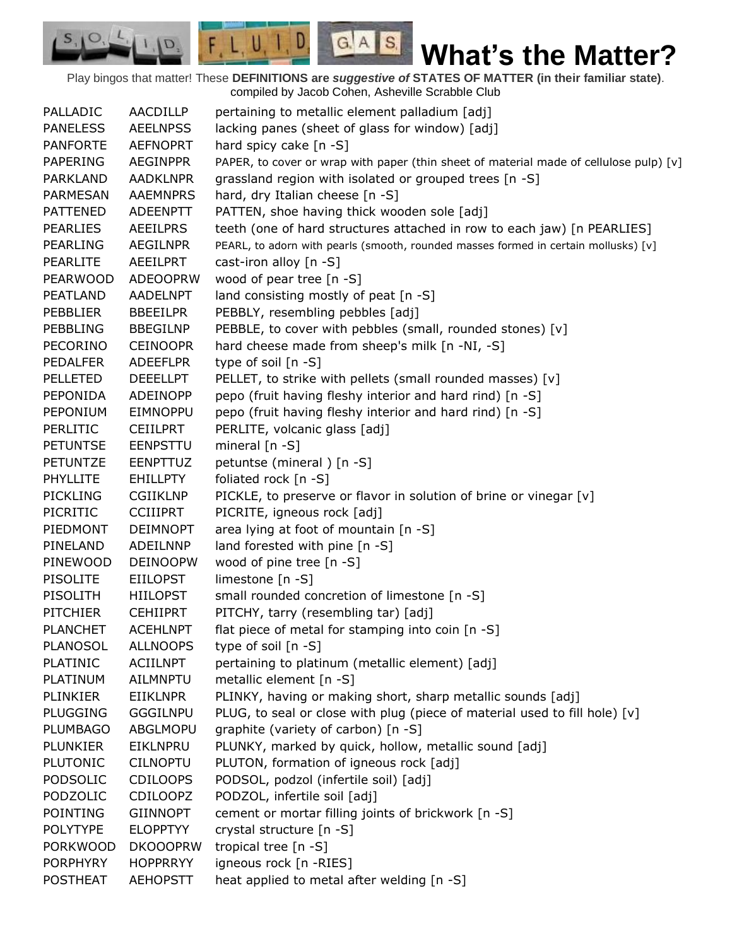Play bingos that matter! These **DEFINITIONS are** *suggestive of* **STATES OF MATTER (in their familiar state)**. compiled by Jacob Cohen, Asheville Scrabble Club

 $G.A.S.$ 

 $F, L, U, I, D$ 

D.

| PALLADIC        | AACDILLP        | pertaining to metallic element palladium [adj]                                         |
|-----------------|-----------------|----------------------------------------------------------------------------------------|
| <b>PANELESS</b> | <b>AEELNPSS</b> | lacking panes (sheet of glass for window) [adj]                                        |
| <b>PANFORTE</b> | <b>AEFNOPRT</b> | hard spicy cake [n -S]                                                                 |
| <b>PAPERING</b> | <b>AEGINPPR</b> | PAPER, to cover or wrap with paper (thin sheet of material made of cellulose pulp) [v] |
| <b>PARKLAND</b> | <b>AADKLNPR</b> | grassland region with isolated or grouped trees [n -S]                                 |
| <b>PARMESAN</b> | <b>AAEMNPRS</b> | hard, dry Italian cheese [n -S]                                                        |
| <b>PATTENED</b> | ADEENPTT        | PATTEN, shoe having thick wooden sole [adj]                                            |
| <b>PEARLIES</b> | AEEILPRS        | teeth (one of hard structures attached in row to each jaw) [n PEARLIES]                |
| <b>PEARLING</b> | <b>AEGILNPR</b> | PEARL, to adorn with pearls (smooth, rounded masses formed in certain mollusks) [v]    |
| <b>PEARLITE</b> | <b>AEEILPRT</b> | cast-iron alloy $[n -S]$                                                               |
| <b>PEARWOOD</b> | <b>ADEOOPRW</b> | wood of pear tree [n -S]                                                               |
| PEATLAND        | <b>AADELNPT</b> | land consisting mostly of peat [n -S]                                                  |
| <b>PEBBLIER</b> | <b>BBEEILPR</b> | PEBBLY, resembling pebbles [adj]                                                       |
| PEBBLING        | <b>BBEGILNP</b> | PEBBLE, to cover with pebbles (small, rounded stones) [v]                              |
| <b>PECORINO</b> | <b>CEINOOPR</b> | hard cheese made from sheep's milk [n -NI, -S]                                         |
| <b>PEDALFER</b> | <b>ADEEFLPR</b> | type of soil $[n -S]$                                                                  |
| <b>PELLETED</b> | <b>DEEELLPT</b> | PELLET, to strike with pellets (small rounded masses) [v]                              |
| PEPONIDA        | ADEINOPP        | pepo (fruit having fleshy interior and hard rind) [n -S]                               |
| PEPONIUM        | EIMNOPPU        | pepo (fruit having fleshy interior and hard rind) [n -S]                               |
| <b>PERLITIC</b> | <b>CEIILPRT</b> | PERLITE, volcanic glass [adj]                                                          |
| <b>PETUNTSE</b> | <b>EENPSTTU</b> | mineral $[n - S]$                                                                      |
| <b>PETUNTZE</b> | <b>EENPTTUZ</b> | petuntse (mineral) [n -S]                                                              |
| <b>PHYLLITE</b> | <b>EHILLPTY</b> | foliated rock [n -S]                                                                   |
| <b>PICKLING</b> | <b>CGIIKLNP</b> | PICKLE, to preserve or flavor in solution of brine or vinegar [v]                      |
| PICRITIC        | <b>CCIIIPRT</b> | PICRITE, igneous rock [adj]                                                            |
| PIEDMONT        | <b>DEIMNOPT</b> | area lying at foot of mountain [n -S]                                                  |
| PINELAND        | ADEILNNP        | land forested with pine [n -S]                                                         |
| PINEWOOD        | <b>DEINOOPW</b> | wood of pine tree [n -S]                                                               |
| <b>PISOLITE</b> | <b>EIILOPST</b> | limestone [n -S]                                                                       |
| PISOLITH        | <b>HIILOPST</b> | small rounded concretion of limestone [n -S]                                           |
| <b>PITCHIER</b> | <b>CEHIIPRT</b> | PITCHY, tarry (resembling tar) [adj]                                                   |
| <b>PLANCHET</b> | <b>ACEHLNPT</b> | flat piece of metal for stamping into coin [n -S]                                      |
| <b>PLANOSOL</b> | <b>ALLNOOPS</b> | type of soil $[n - S]$                                                                 |
| <b>PLATINIC</b> | <b>ACIILNPT</b> | pertaining to platinum (metallic element) [adj]                                        |
| <b>PLATINUM</b> | AILMNPTU        | metallic element [n -S]                                                                |
| PLINKIER        | EIIKLNPR        | PLINKY, having or making short, sharp metallic sounds [adj]                            |
| <b>PLUGGING</b> | <b>GGGILNPU</b> | PLUG, to seal or close with plug (piece of material used to fill hole) [v]             |
| <b>PLUMBAGO</b> | ABGLMOPU        | graphite (variety of carbon) [n -S]                                                    |
| <b>PLUNKIER</b> | EIKLNPRU        | PLUNKY, marked by quick, hollow, metallic sound [adj]                                  |
| <b>PLUTONIC</b> | <b>CILNOPTU</b> | PLUTON, formation of igneous rock [adj]                                                |
| PODSOLIC        | <b>CDILOOPS</b> | PODSOL, podzol (infertile soil) [adj]                                                  |
| PODZOLIC        | <b>CDILOOPZ</b> | PODZOL, infertile soil [adj]                                                           |
| <b>POINTING</b> | <b>GIINNOPT</b> | cement or mortar filling joints of brickwork [n -S]                                    |
| <b>POLYTYPE</b> | <b>ELOPPTYY</b> | crystal structure [n -S]                                                               |
| <b>PORKWOOD</b> | <b>DKOOOPRW</b> | tropical tree [n -S]                                                                   |
| <b>PORPHYRY</b> | <b>HOPPRRYY</b> | igneous rock [n -RIES]                                                                 |
| <b>POSTHEAT</b> | <b>AEHOPSTT</b> | heat applied to metal after welding [n -S]                                             |
|                 |                 |                                                                                        |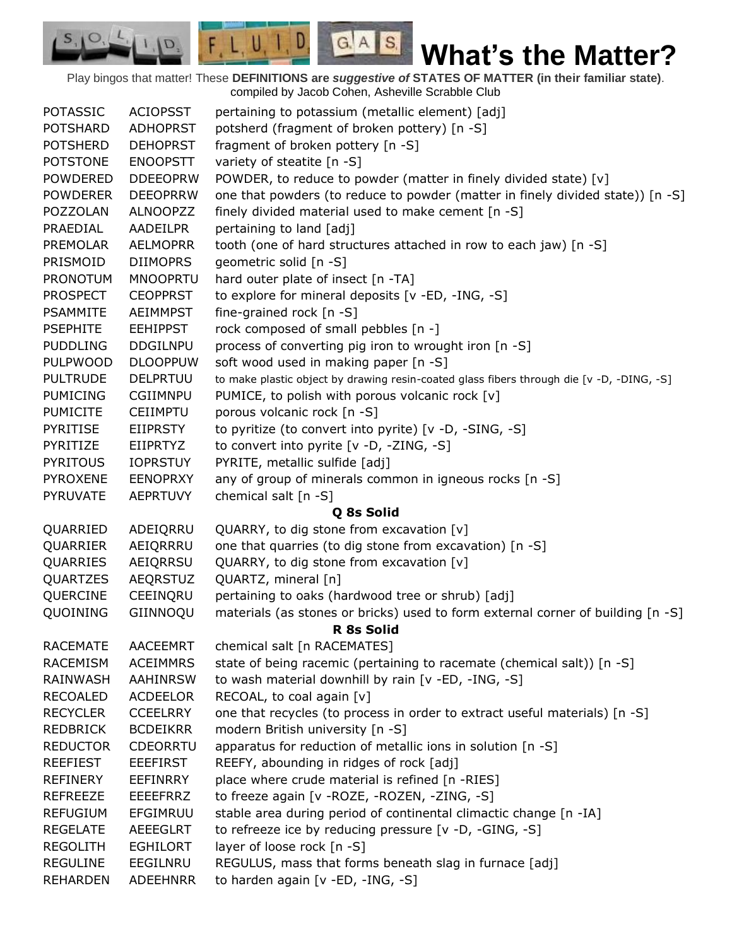Play bingos that matter! These **DEFINITIONS are** *suggestive of* **STATES OF MATTER (in their familiar state)**. compiled by Jacob Cohen, Asheville Scrabble Club

 $G.A.S.$ 

 $F, L, U, I, D$ 

D.

| <b>POTASSIC</b> | <b>ACIOPSST</b> | pertaining to potassium (metallic element) [adj]                                            |
|-----------------|-----------------|---------------------------------------------------------------------------------------------|
| <b>POTSHARD</b> | <b>ADHOPRST</b> | potsherd (fragment of broken pottery) [n -S]                                                |
| <b>POTSHERD</b> | <b>DEHOPRST</b> | fragment of broken pottery [n -S]                                                           |
| <b>POTSTONE</b> | <b>ENOOPSTT</b> | variety of steatite [n -S]                                                                  |
| <b>POWDERED</b> | <b>DDEEOPRW</b> | POWDER, to reduce to powder (matter in finely divided state) [v]                            |
| <b>POWDERER</b> | <b>DEEOPRRW</b> | one that powders (to reduce to powder (matter in finely divided state)) [n -S]              |
| POZZOLAN        | <b>ALNOOPZZ</b> | finely divided material used to make cement [n -S]                                          |
| PRAEDIAL        | AADEILPR        | pertaining to land [adj]                                                                    |
| <b>PREMOLAR</b> | <b>AELMOPRR</b> | tooth (one of hard structures attached in row to each jaw) [n -S]                           |
| PRISMOID        | <b>DIIMOPRS</b> | geometric solid [n -S]                                                                      |
| <b>PRONOTUM</b> | <b>MNOOPRTU</b> | hard outer plate of insect [n -TA]                                                          |
| <b>PROSPECT</b> | <b>CEOPPRST</b> | to explore for mineral deposits [v -ED, -ING, -S]                                           |
| <b>PSAMMITE</b> | <b>AEIMMPST</b> | fine-grained rock [n -S]                                                                    |
| <b>PSEPHITE</b> | <b>EEHIPPST</b> | rock composed of small pebbles [n -]                                                        |
| <b>PUDDLING</b> | <b>DDGILNPU</b> | process of converting pig iron to wrought iron [n -S]                                       |
| <b>PULPWOOD</b> | <b>DLOOPPUW</b> | soft wood used in making paper [n -S]                                                       |
| <b>PULTRUDE</b> | <b>DELPRTUU</b> | to make plastic object by drawing resin-coated glass fibers through die [v -D, -DING, -S]   |
| <b>PUMICING</b> | CGIIMNPU        | PUMICE, to polish with porous volcanic rock [v]                                             |
| <b>PUMICITE</b> | <b>CEIIMPTU</b> | porous volcanic rock [n -S]                                                                 |
| <b>PYRITISE</b> | EIIPRSTY        | to pyritize (to convert into pyrite) [v -D, -SING, -S]                                      |
| PYRITIZE        | <b>EIIPRTYZ</b> | to convert into pyrite [v -D, -ZING, -S]                                                    |
| <b>PYRITOUS</b> | <b>IOPRSTUY</b> | PYRITE, metallic sulfide [adj]                                                              |
| <b>PYROXENE</b> | <b>EENOPRXY</b> | any of group of minerals common in igneous rocks [n -S]                                     |
| <b>PYRUVATE</b> | <b>AEPRTUVY</b> | chemical salt [n -S]                                                                        |
|                 |                 |                                                                                             |
|                 |                 | Q 8s Solid                                                                                  |
| QUARRIED        | ADEIQRRU        | QUARRY, to dig stone from excavation [v]                                                    |
| QUARRIER        | AEIQRRRU        | one that quarries (to dig stone from excavation) [n -S]                                     |
| QUARRIES        | AEIQRRSU        | QUARRY, to dig stone from excavation [v]                                                    |
| QUARTZES        | <b>AEQRSTUZ</b> | QUARTZ, mineral [n]                                                                         |
| QUERCINE        | CEEINQRU        | pertaining to oaks (hardwood tree or shrub) [adj]                                           |
| QUOINING        | GIINNOQU        | materials (as stones or bricks) used to form external corner of building [n -S]             |
|                 |                 | R 8s Solid                                                                                  |
| <b>RACEMATE</b> | <b>AACEEMRT</b> | chemical salt [n RACEMATES]                                                                 |
| <b>RACEMISM</b> | <b>ACEIMMRS</b> | state of being racemic (pertaining to racemate (chemical salt)) [n -S]                      |
| RAINWASH        | <b>AAHINRSW</b> | to wash material downhill by rain [v -ED, -ING, -S]                                         |
| <b>RECOALED</b> | <b>ACDEELOR</b> | RECOAL, to coal again [v]                                                                   |
| <b>RECYCLER</b> | <b>CCEELRRY</b> | one that recycles (to process in order to extract useful materials) [n -S]                  |
| <b>REDBRICK</b> | <b>BCDEIKRR</b> | modern British university [n -S]                                                            |
| <b>REDUCTOR</b> | <b>CDEORRTU</b> | apparatus for reduction of metallic ions in solution [n -S]                                 |
| <b>REEFIEST</b> | <b>EEEFIRST</b> | REEFY, abounding in ridges of rock [adj]                                                    |
| REFINERY        | <b>EEFINRRY</b> | place where crude material is refined [n -RIES]                                             |
| <b>REFREEZE</b> | <b>EEEEFRRZ</b> | to freeze again [v - ROZE, - ROZEN, - ZING, - S]                                            |
| <b>REFUGIUM</b> | EFGIMRUU        | stable area during period of continental climactic change [n -IA]                           |
| <b>REGELATE</b> | <b>AEEEGLRT</b> | to refreeze ice by reducing pressure [v -D, -GING, -S]                                      |
| <b>REGOLITH</b> | <b>EGHILORT</b> | layer of loose rock [n -S]                                                                  |
| <b>REGULINE</b> | EEGILNRU        | REGULUS, mass that forms beneath slag in furnace [adj]<br>to harden again [v -ED, -ING, -S] |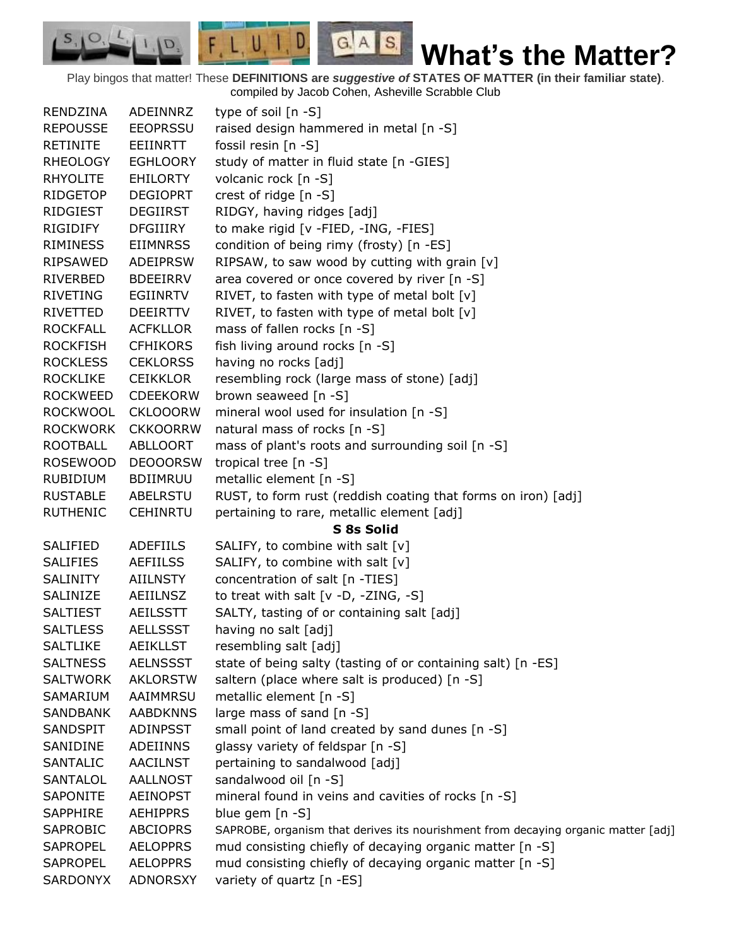Play bingos that matter! These **DEFINITIONS are** *suggestive of* **STATES OF MATTER (in their familiar state)**. compiled by Jacob Cohen, Asheville Scrabble Club

 $G.A.S.$ 

 $F, L, U, I, D$ 

D.

 $S_{1}$  $\mathcal{O},$ 

| RENDZINA        | ADEINNRZ        | type of soil $[n - S]$                                                            |
|-----------------|-----------------|-----------------------------------------------------------------------------------|
| <b>REPOUSSE</b> | <b>EEOPRSSU</b> | raised design hammered in metal [n -S]                                            |
| <b>RETINITE</b> | EEIINRTT        | fossil resin $[n -S]$                                                             |
| <b>RHEOLOGY</b> | <b>EGHLOORY</b> | study of matter in fluid state [n -GIES]                                          |
| <b>RHYOLITE</b> | <b>EHILORTY</b> | volcanic rock [n -S]                                                              |
| <b>RIDGETOP</b> | <b>DEGIOPRT</b> | crest of ridge [n -S]                                                             |
| RIDGIEST        | <b>DEGIIRST</b> | RIDGY, having ridges [adj]                                                        |
| <b>RIGIDIFY</b> | <b>DFGIIIRY</b> | to make rigid [v -FIED, -ING, -FIES]                                              |
| <b>RIMINESS</b> | <b>EIIMNRSS</b> | condition of being rimy (frosty) [n -ES]                                          |
| <b>RIPSAWED</b> | <b>ADEIPRSW</b> | RIPSAW, to saw wood by cutting with grain [v]                                     |
| RIVERBED        | <b>BDEEIRRV</b> | area covered or once covered by river [n -S]                                      |
| <b>RIVETING</b> | EGIINRTV        | RIVET, to fasten with type of metal bolt [v]                                      |
| RIVETTED        | <b>DEEIRTTV</b> | RIVET, to fasten with type of metal bolt [v]                                      |
| <b>ROCKFALL</b> | <b>ACFKLLOR</b> | mass of fallen rocks [n -S]                                                       |
| <b>ROCKFISH</b> | <b>CFHIKORS</b> | fish living around rocks [n -S]                                                   |
| <b>ROCKLESS</b> | <b>CEKLORSS</b> | having no rocks [adj]                                                             |
| <b>ROCKLIKE</b> | <b>CEIKKLOR</b> | resembling rock (large mass of stone) [adj]                                       |
| <b>ROCKWEED</b> | <b>CDEEKORW</b> | brown seaweed [n -S]                                                              |
| <b>ROCKWOOL</b> | <b>CKLOOORW</b> | mineral wool used for insulation [n -S]                                           |
| <b>ROCKWORK</b> | <b>CKKOORRW</b> | natural mass of rocks [n -S]                                                      |
| <b>ROOTBALL</b> | <b>ABLLOORT</b> | mass of plant's roots and surrounding soil [n -S]                                 |
| <b>ROSEWOOD</b> | <b>DEOOORSW</b> | tropical tree [n -S]                                                              |
| <b>RUBIDIUM</b> | <b>BDIIMRUU</b> | metallic element [n -S]                                                           |
| <b>RUSTABLE</b> | ABELRSTU        | RUST, to form rust (reddish coating that forms on iron) [adj]                     |
| <b>RUTHENIC</b> | <b>CEHINRTU</b> | pertaining to rare, metallic element [adj]                                        |
|                 |                 | S 8s Solid                                                                        |
| SALIFIED        | <b>ADEFIILS</b> | SALIFY, to combine with salt [v]                                                  |
| <b>SALIFIES</b> | <b>AEFIILSS</b> | SALIFY, to combine with salt [v]                                                  |
| <b>SALINITY</b> | <b>AIILNSTY</b> | concentration of salt [n -TIES]                                                   |
| SALINIZE        | AEIILNSZ        | to treat with salt [v -D, -ZING, -S]                                              |
| <b>SALTIEST</b> | <b>AEILSSTT</b> | SALTY, tasting of or containing salt [adj]                                        |
| <b>SALTLESS</b> | <b>AELLSSST</b> | having no salt [adj]                                                              |
| <b>SALTLIKE</b> | <b>AEIKLLST</b> | resembling salt [adj]                                                             |
| <b>SALTNESS</b> | <b>AELNSSST</b> | state of being salty (tasting of or containing salt) [n -ES]                      |
| <b>SALTWORK</b> | <b>AKLORSTW</b> | saltern (place where salt is produced) [n -S]                                     |
| SAMARIUM        | AAIMMRSU        | metallic element [n -S]                                                           |
| <b>SANDBANK</b> | <b>AABDKNNS</b> | large mass of sand [n -S]                                                         |
| SANDSPIT        | <b>ADINPSST</b> | small point of land created by sand dunes [n -S]                                  |
| SANIDINE        | ADEIINNS        | glassy variety of feldspar [n -S]                                                 |
| SANTALIC        | <b>AACILNST</b> | pertaining to sandalwood [adj]                                                    |
| <b>SANTALOL</b> | <b>AALLNOST</b> | sandalwood oil [n -S]                                                             |
| <b>SAPONITE</b> | <b>AEINOPST</b> | mineral found in veins and cavities of rocks [n -S]                               |
| SAPPHIRE        | <b>AEHIPPRS</b> | blue gem [n -S]                                                                   |
| SAPROBIC        | <b>ABCIOPRS</b> | SAPROBE, organism that derives its nourishment from decaying organic matter [adj] |
| <b>SAPROPEL</b> | <b>AELOPPRS</b> | mud consisting chiefly of decaying organic matter [n -S]                          |
| <b>SAPROPEL</b> | <b>AELOPPRS</b> | mud consisting chiefly of decaying organic matter [n -S]                          |
| SARDONYX        | <b>ADNORSXY</b> | variety of quartz [n -ES]                                                         |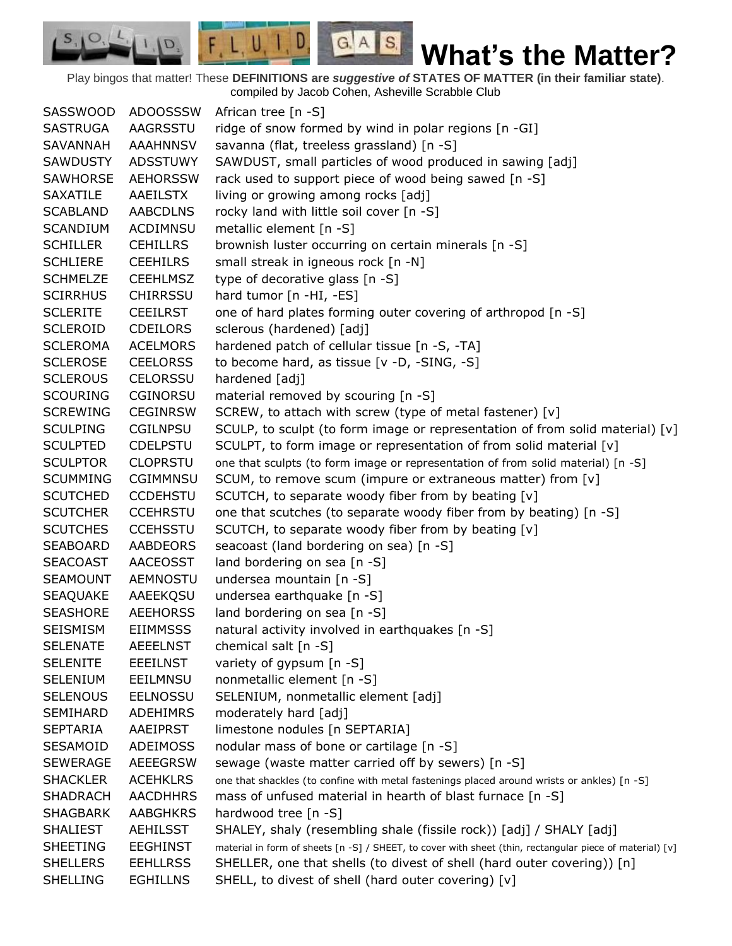$F L U, I, D$  $G.A.S.$  $I, \mathbf{D}$ **What's the Matter?**

Play bingos that matter! These **DEFINITIONS are** *suggestive of* **STATES OF MATTER (in their familiar state)**. compiled by Jacob Cohen, Asheville Scrabble Club

SASSWOOD ADOOSSSW African tree [n -S] SASTRUGA AAGRSSTU ridge of snow formed by wind in polar regions [n -GI] SAVANNAH AAAHNNSV savanna (flat, treeless grassland) [n -S] SAWDUSTY ADSSTUWY SAWDUST, small particles of wood produced in sawing [adj] SAWHORSE AEHORSSW rack used to support piece of wood being sawed [n -S] SAXATILE AAEILSTX living or growing among rocks [adj] SCABLAND AABCDLNS rocky land with little soil cover [n -S] SCANDIUM ACDIMNSU metallic element [n -S] SCHILLER CEHILLRS brownish luster occurring on certain minerals [n -S] SCHLIERE CEEHILRS small streak in igneous rock [n -N] SCHMELZE CEEHLMSZ type of decorative glass [n -S] SCIRRHUS CHIRRSSU hard tumor [n -HI, -ES] SCLERITE CEEILRST one of hard plates forming outer covering of arthropod [n -S] SCLEROID CDEILORS sclerous (hardened) [adj] SCLEROMA ACELMORS hardened patch of cellular tissue [n -S, -TA] SCLEROSE CEELORSS to become hard, as tissue [v -D, -SING, -S] SCLEROUS CELORSSU hardened [adj] SCOURING CGINORSU material removed by scouring [n -S] SCREWING CEGINRSW SCREW, to attach with screw (type of metal fastener) [v] SCULPING CGILNPSU SCULP, to sculpt (to form image or representation of from solid material) [v] SCULPTED CDELPSTU SCULPT, to form image or representation of from solid material [v] SCULPTOR CLOPRSTU one that sculpts (to form image or representation of from solid material) [n -S] SCUMMING CGIMMNSU SCUM, to remove scum (impure or extraneous matter) from [v] SCUTCHED CCDEHSTU SCUTCH, to separate woody fiber from by beating [v] SCUTCHER CCEHRSTU one that scutches (to separate woody fiber from by beating) [n -S] SCUTCHES CCEHSSTU SCUTCH, to separate woody fiber from by beating [v] SEABOARD AABDEORS seacoast (land bordering on sea) [n -S] SEACOAST AACEOSST land bordering on sea [n -S] SEAMOUNT AEMNOSTU undersea mountain [n -S] SEAQUAKE AAEEKQSU undersea earthquake [n -S] SEASHORE AEEHORSS land bordering on sea [n -S] SEISMISM EIIMMSSS natural activity involved in earthquakes [n -S] SELENATE AEEELNST chemical salt [n -S] SELENITE EEEILNST variety of gypsum [n -S] SELENIUM EEILMNSU nonmetallic element [n -S] SELENOUS EELNOSSU SELENIUM, nonmetallic element [adj] SEMIHARD ADEHIMRS moderately hard [adj] SEPTARIA AAEIPRST limestone nodules [n SEPTARIA] SESAMOID ADEIMOSS nodular mass of bone or cartilage [n -S] SEWERAGE AEEEGRSW sewage (waste matter carried off by sewers) [n -S] SHACKLER ACEHKLRS one that shackles (to confine with metal fastenings placed around wrists or ankles) [n -S] SHADRACH AACDHHRS mass of unfused material in hearth of blast furnace [n -S] SHAGBARK AABGHKRS hardwood tree [n -S] SHALIEST AEHILSST SHALEY, shaly (resembling shale (fissile rock)) [adj] / SHALY [adj] SHEETING EEGHINST material in form of sheets [n -S] / SHEET, to cover with sheet (thin, rectangular piece of material) [v] SHELLERS EEHLLRSS SHELLER, one that shells (to divest of shell (hard outer covering)) [n] SHELLING EGHILLNS SHELL, to divest of shell (hard outer covering) [v]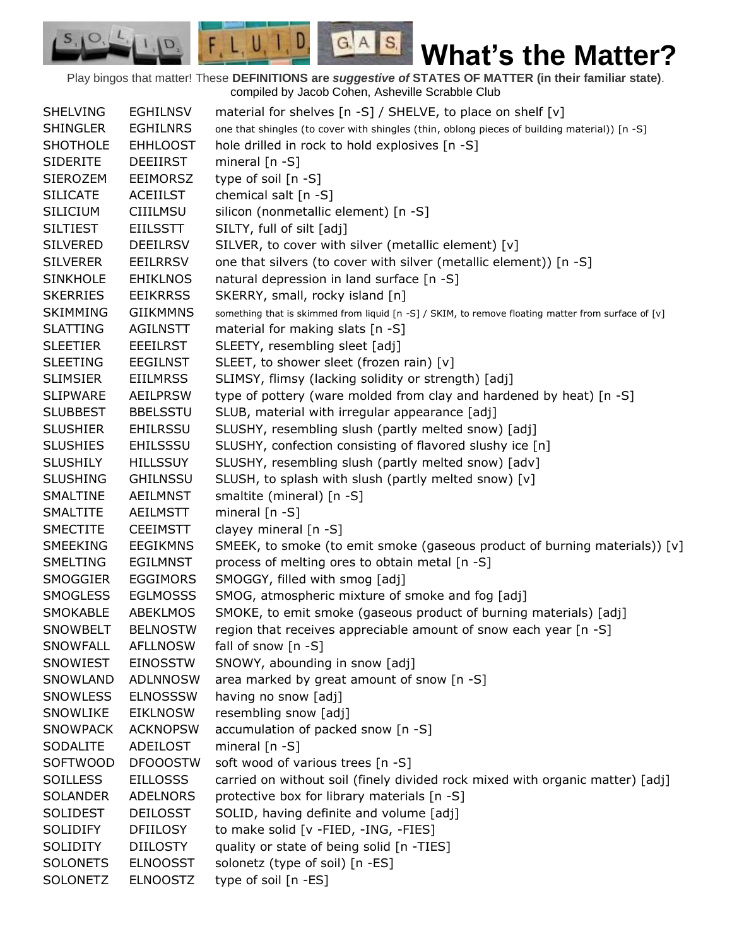Play bingos that matter! These **DEFINITIONS are** *suggestive of* **STATES OF MATTER (in their familiar state)**. compiled by Jacob Cohen, Asheville Scrabble Club

 $G.A.S.$ 

 $F, L, U, I, D$ 

D.

 $S_{1}$  $\mathcal{O},$ 

| <b>SHELVING</b> | <b>EGHILNSV</b> | material for shelves $[n - S]$ / SHELVE, to place on shelf $[v]$                                   |
|-----------------|-----------------|----------------------------------------------------------------------------------------------------|
| <b>SHINGLER</b> | <b>EGHILNRS</b> | one that shingles (to cover with shingles (thin, oblong pieces of building material)) [n -S]       |
| <b>SHOTHOLE</b> | <b>EHHLOOST</b> | hole drilled in rock to hold explosives [n -S]                                                     |
| <b>SIDERITE</b> | <b>DEEIIRST</b> | mineral $[n - S]$                                                                                  |
| <b>SIEROZEM</b> | <b>EEIMORSZ</b> | type of soil $[n -S]$                                                                              |
| <b>SILICATE</b> | <b>ACEIILST</b> | chemical salt [n -S]                                                                               |
| <b>SILICIUM</b> | <b>CIIILMSU</b> | silicon (nonmetallic element) [n -S]                                                               |
| <b>SILTIEST</b> | <b>EIILSSTT</b> | SILTY, full of silt [adj]                                                                          |
| <b>SILVERED</b> | <b>DEEILRSV</b> | SILVER, to cover with silver (metallic element) [v]                                                |
| <b>SILVERER</b> | <b>EEILRRSV</b> | one that silvers (to cover with silver (metallic element)) [n -S]                                  |
| <b>SINKHOLE</b> | <b>EHIKLNOS</b> | natural depression in land surface [n -S]                                                          |
| <b>SKERRIES</b> | <b>EEIKRRSS</b> | SKERRY, small, rocky island [n]                                                                    |
| <b>SKIMMING</b> | <b>GIIKMMNS</b> | something that is skimmed from liquid [n -S] / SKIM, to remove floating matter from surface of [v] |
| <b>SLATTING</b> | AGILNSTT        | material for making slats [n -S]                                                                   |
| <b>SLEETIER</b> | <b>EEEILRST</b> | SLEETY, resembling sleet [adj]                                                                     |
| <b>SLEETING</b> | <b>EEGILNST</b> | SLEET, to shower sleet (frozen rain) [v]                                                           |
| <b>SLIMSIER</b> | <b>EIILMRSS</b> | SLIMSY, flimsy (lacking solidity or strength) [adj]                                                |
| <b>SLIPWARE</b> | <b>AEILPRSW</b> | type of pottery (ware molded from clay and hardened by heat) [n -S]                                |
| <b>SLUBBEST</b> | <b>BBELSSTU</b> | SLUB, material with irregular appearance [adj]                                                     |
| <b>SLUSHIER</b> | <b>EHILRSSU</b> | SLUSHY, resembling slush (partly melted snow) [adj]                                                |
| <b>SLUSHIES</b> | <b>EHILSSSU</b> | SLUSHY, confection consisting of flavored slushy ice [n]                                           |
| <b>SLUSHILY</b> | <b>HILLSSUY</b> | SLUSHY, resembling slush (partly melted snow) [adv]                                                |
| <b>SLUSHING</b> | <b>GHILNSSU</b> | SLUSH, to splash with slush (partly melted snow) [v]                                               |
| SMALTINE        | <b>AEILMNST</b> | smaltite (mineral) [n -S]                                                                          |
| SMALTITE        | <b>AEILMSTT</b> | mineral $[n - S]$                                                                                  |
| <b>SMECTITE</b> | <b>CEEIMSTT</b> | clayey mineral [n -S]                                                                              |
| SMEEKING        | <b>EEGIKMNS</b> | SMEEK, to smoke (to emit smoke (gaseous product of burning materials)) [v]                         |
| <b>SMELTING</b> | <b>EGILMNST</b> | process of melting ores to obtain metal [n -S]                                                     |
| SMOGGIER        | <b>EGGIMORS</b> | SMOGGY, filled with smog [adj]                                                                     |
| <b>SMOGLESS</b> | <b>EGLMOSSS</b> | SMOG, atmospheric mixture of smoke and fog [adj]                                                   |
| <b>SMOKABLE</b> | ABEKLMOS        | SMOKE, to emit smoke (gaseous product of burning materials) [adj]                                  |
| <b>SNOWBELT</b> | <b>BELNOSTW</b> | region that receives appreciable amount of snow each year [n -S]                                   |
| <b>SNOWFALL</b> | <b>AFLLNOSW</b> | fall of snow $[n - S]$                                                                             |
| SNOWIEST        | <b>EINOSSTW</b> | SNOWY, abounding in snow [adj]                                                                     |
| SNOWLAND        | <b>ADLNNOSW</b> | area marked by great amount of snow [n -S]                                                         |
| <b>SNOWLESS</b> | <b>ELNOSSSW</b> | having no snow [adj]                                                                               |
| SNOWLIKE        | <b>EIKLNOSW</b> | resembling snow [adj]                                                                              |
| <b>SNOWPACK</b> | <b>ACKNOPSW</b> | accumulation of packed snow [n -S]                                                                 |
| <b>SODALITE</b> | ADEILOST        | mineral $[n - S]$                                                                                  |
| <b>SOFTWOOD</b> | <b>DFOOOSTW</b> | soft wood of various trees [n -S]                                                                  |
| <b>SOILLESS</b> | <b>EILLOSSS</b> | carried on without soil (finely divided rock mixed with organic matter) [adj]                      |
| <b>SOLANDER</b> | <b>ADELNORS</b> | protective box for library materials [n -S]                                                        |
| <b>SOLIDEST</b> | <b>DEILOSST</b> | SOLID, having definite and volume [adj]                                                            |
| <b>SOLIDIFY</b> | <b>DFIILOSY</b> | to make solid [v -FIED, -ING, -FIES]                                                               |
| SOLIDITY        | <b>DIILOSTY</b> | quality or state of being solid [n -TIES]                                                          |
| <b>SOLONETS</b> | <b>ELNOOSST</b> | solonetz (type of soil) [n -ES]                                                                    |
| <b>SOLONETZ</b> | <b>ELNOOSTZ</b> | type of soil [n -ES]                                                                               |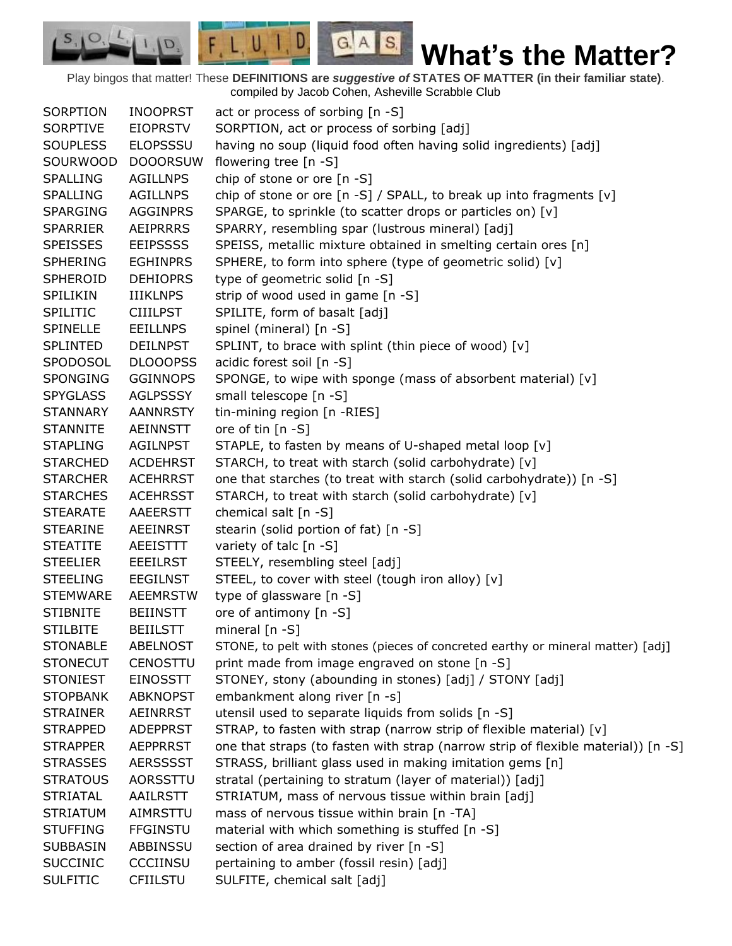Play bingos that matter! These **DEFINITIONS are** *suggestive of* **STATES OF MATTER (in their familiar state)**. compiled by Jacob Cohen, Asheville Scrabble Club

 $G.A.S.$ 

 $F L U, I, D$ 

 $I \cap D$ 

SORPTION INOOPRST act or process of sorbing [n -S] SORPTIVE EIOPRSTV SORPTION, act or process of sorbing [adj] SOUPLESS ELOPSSSU having no soup (liquid food often having solid ingredients) [adj] SOURWOOD DOOORSUW flowering tree [n -S] SPALLING AGILLNPS chip of stone or ore [n -S] SPALLING AGILLNPS chip of stone or ore [n -S] / SPALL, to break up into fragments [v] SPARGING AGGINPRS SPARGE, to sprinkle (to scatter drops or particles on) [v] SPARRIER AEIPRRRS SPARRY, resembling spar (lustrous mineral) [adj] SPEISSES EEIPSSSS SPEISS, metallic mixture obtained in smelting certain ores [n] SPHERING EGHINPRS SPHERE, to form into sphere (type of geometric solid) [v] SPHEROID DEHIOPRS type of geometric solid [n -S] SPILIKIN IIIKLNPS strip of wood used in game [n -S] SPILITIC CIIILPST SPILITE, form of basalt [adj] SPINELLE EEILLNPS spinel (mineral) [n -S] SPLINTED DEILNPST SPLINT, to brace with splint (thin piece of wood) [v] SPODOSOL DLOOOPSS acidic forest soil [n -S] SPONGING GGINNOPS SPONGE, to wipe with sponge (mass of absorbent material) [v] SPYGLASS AGLPSSSY small telescope [n -S] STANNARY AANNRSTY tin-mining region [n -RIES] STANNITE AEINNSTT ore of tin [n -S] STAPLING AGILNPST STAPLE, to fasten by means of U-shaped metal loop [v] STARCHED ACDEHRST STARCH, to treat with starch (solid carbohydrate) [v] STARCHER ACEHRRST one that starches (to treat with starch (solid carbohydrate)) [n -S] STARCHES ACEHRSST STARCH, to treat with starch (solid carbohydrate) [v] STEARATE AAEERSTT chemical salt [n -S] STEARINE AEEINRST stearin (solid portion of fat) [n -S] STEATITE AEEISTTT variety of talc [n -S] STEELIER EEEILRST STEELY, resembling steel [adj] STEELING EEGILNST STEEL, to cover with steel (tough iron alloy)  $[v]$ STEMWARE AEEMRSTW type of glassware [n -S] STIBNITE BEIINSTT ore of antimony [n -S] STILBITE BEIILSTT mineral [n -S] STONABLE ABELNOST STONE, to pelt with stones (pieces of concreted earthy or mineral matter) [adj] STONECUT CENOSTTU print made from image engraved on stone [n -S] STONIEST EINOSSTT STONEY, stony (abounding in stones) [adj] / STONY [adj] STOPBANK ABKNOPST embankment along river [n -s] STRAINER AEINRRST utensil used to separate liquids from solids [n -S] STRAPPED ADEPPRST STRAP, to fasten with strap (narrow strip of flexible material)  $[v]$ STRAPPER AEPPRRST one that straps (to fasten with strap (narrow strip of flexible material)) [n -S] STRASSES AERSSSST STRASS, brilliant glass used in making imitation gems [n] STRATOUS AORSSTTU stratal (pertaining to stratum (layer of material)) [adj] STRIATAL AAILRSTT STRIATUM, mass of nervous tissue within brain [adj] STRIATUM AIMRSTTU mass of nervous tissue within brain [n -TA] STUFFING FFGINSTU material with which something is stuffed [n -S] SUBBASIN ABBINSSU section of area drained by river [n -S] SUCCINIC CCCIINSU pertaining to amber (fossil resin) [adj] SULFITIC CFIILSTU SULFITE, chemical salt [adj]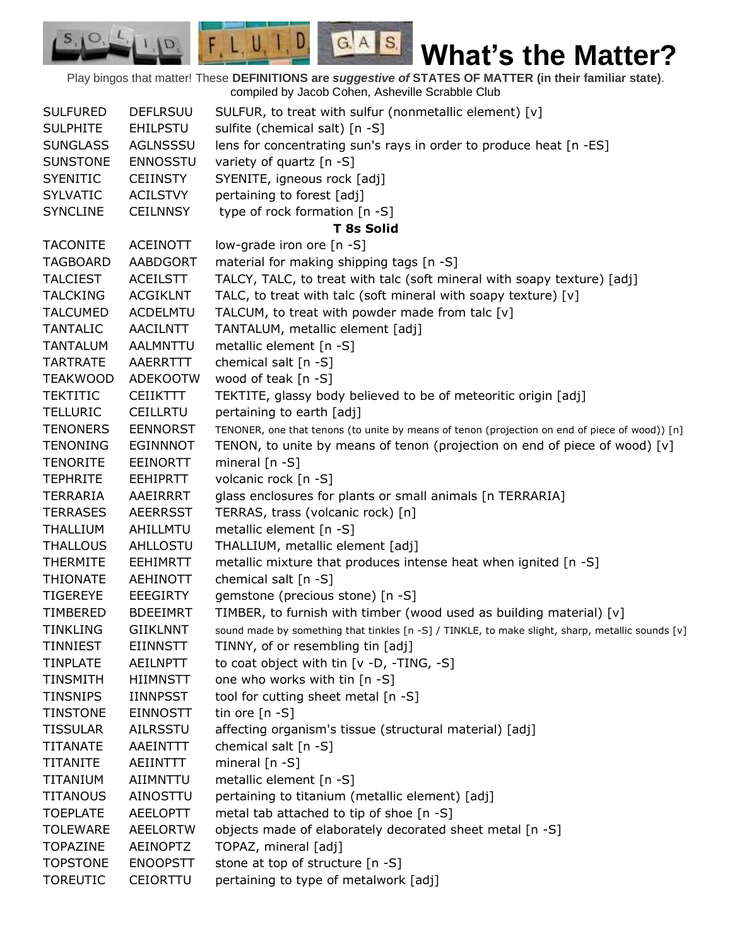Play bingos that matter! These **DEFINITIONS are** *suggestive of* **STATES OF MATTER (in their familiar state)**. compiled by Jacob Cohen, Asheville Scrabble Club

 $G.A.S.$ 

 $F, L, U, I, D$ 

D.

| <b>SULFURED</b> | <b>DEFLRSUU</b> | SULFUR, to treat with sulfur (nonmetallic element) [v]                                           |
|-----------------|-----------------|--------------------------------------------------------------------------------------------------|
| <b>SULPHITE</b> | <b>EHILPSTU</b> | sulfite (chemical salt) [n -S]                                                                   |
| <b>SUNGLASS</b> | AGLNSSSU        | lens for concentrating sun's rays in order to produce heat [n -ES]                               |
| <b>SUNSTONE</b> | <b>ENNOSSTU</b> | variety of quartz [n -S]                                                                         |
| <b>SYENITIC</b> | <b>CEIINSTY</b> | SYENITE, igneous rock [adj]                                                                      |
| <b>SYLVATIC</b> | <b>ACILSTVY</b> | pertaining to forest [adj]                                                                       |
| <b>SYNCLINE</b> | <b>CEILNNSY</b> | type of rock formation [n -S]                                                                    |
|                 |                 | <b>T 8s Solid</b>                                                                                |
| <b>TACONITE</b> | <b>ACEINOTT</b> | low-grade iron ore [n -S]                                                                        |
| <b>TAGBOARD</b> | AABDGORT        | material for making shipping tags [n -S]                                                         |
| <b>TALCIEST</b> | <b>ACEILSTT</b> | TALCY, TALC, to treat with talc (soft mineral with soapy texture) [adj]                          |
| <b>TALCKING</b> | <b>ACGIKLNT</b> | TALC, to treat with talc (soft mineral with soapy texture) [v]                                   |
| <b>TALCUMED</b> | <b>ACDELMTU</b> | TALCUM, to treat with powder made from talc [v]                                                  |
| <b>TANTALIC</b> | AACILNTT        | TANTALUM, metallic element [adj]                                                                 |
| <b>TANTALUM</b> | <b>AALMNTTU</b> | metallic element [n -S]                                                                          |
| <b>TARTRATE</b> | AAERRTTT        | chemical salt $[n -S]$                                                                           |
| <b>TEAKWOOD</b> | ADEKOOTW        | wood of teak $[n -S]$                                                                            |
| <b>TEKTITIC</b> | <b>CEIIKTTT</b> | TEKTITE, glassy body believed to be of meteoritic origin [adj]                                   |
| <b>TELLURIC</b> | <b>CEILLRTU</b> | pertaining to earth [adj]                                                                        |
| <b>TENONERS</b> | <b>EENNORST</b> | TENONER, one that tenons (to unite by means of tenon (projection on end of piece of wood)) [n]   |
| <b>TENONING</b> | <b>EGINNNOT</b> | TENON, to unite by means of tenon (projection on end of piece of wood) $[v]$                     |
| <b>TENORITE</b> | <b>EEINORTT</b> | mineral $[n - S]$                                                                                |
| <b>TEPHRITE</b> | <b>EEHIPRTT</b> | volcanic rock [n -S]                                                                             |
| TERRARIA        | AAEIRRRT        | glass enclosures for plants or small animals [n TERRARIA]                                        |
| <b>TERRASES</b> | <b>AEERRSST</b> | TERRAS, trass (volcanic rock) [n]                                                                |
| <b>THALLIUM</b> | AHILLMTU        | metallic element [n -S]                                                                          |
| <b>THALLOUS</b> | AHLLOSTU        | THALLIUM, metallic element [adj]                                                                 |
| <b>THERMITE</b> | <b>EEHIMRTT</b> | metallic mixture that produces intense heat when ignited [n -S]                                  |
| <b>THIONATE</b> | <b>AEHINOTT</b> | chemical salt [n -S]                                                                             |
| <b>TIGEREYE</b> | <b>EEEGIRTY</b> | gemstone (precious stone) [n -S]                                                                 |
| <b>TIMBERED</b> | <b>BDEEIMRT</b> | TIMBER, to furnish with timber (wood used as building material) [v]                              |
| <b>TINKLING</b> | <b>GIIKLNNT</b> | sound made by something that tinkles [n -S] / TINKLE, to make slight, sharp, metallic sounds [v] |
| <b>TINNIEST</b> | <b>EIINNSTT</b> | TINNY, of or resembling tin [adj]                                                                |
| <b>TINPLATE</b> | <b>AEILNPTT</b> | to coat object with tin [v -D, -TING, -S]                                                        |
| <b>TINSMITH</b> | <b>HIIMNSTT</b> | one who works with tin [n -S]                                                                    |
| <b>TINSNIPS</b> | <b>IINNPSST</b> | tool for cutting sheet metal [n -S]                                                              |
| <b>TINSTONE</b> | <b>EINNOSTT</b> | tin ore $[n - S]$                                                                                |
| <b>TISSULAR</b> | <b>AILRSSTU</b> | affecting organism's tissue (structural material) [adj]                                          |
| <b>TITANATE</b> | AAEINTTT        | chemical salt [n -S]                                                                             |
| <b>TITANITE</b> | AEIINTTT        | mineral [n -S]                                                                                   |
| TITANIUM        | AIIMNTTU        | metallic element [n -S]                                                                          |
| <b>TITANOUS</b> | AINOSTTU        | pertaining to titanium (metallic element) [adj]                                                  |
| <b>TOEPLATE</b> | <b>AEELOPTT</b> | metal tab attached to tip of shoe [n -S]                                                         |
| <b>TOLEWARE</b> | <b>AEELORTW</b> | objects made of elaborately decorated sheet metal [n -S]                                         |
| <b>TOPAZINE</b> | AEINOPTZ        | TOPAZ, mineral [adj]                                                                             |
| <b>TOPSTONE</b> | <b>ENOOPSTT</b> | stone at top of structure [n -S]                                                                 |
| <b>TOREUTIC</b> | CEIORTTU        | pertaining to type of metalwork [adj]                                                            |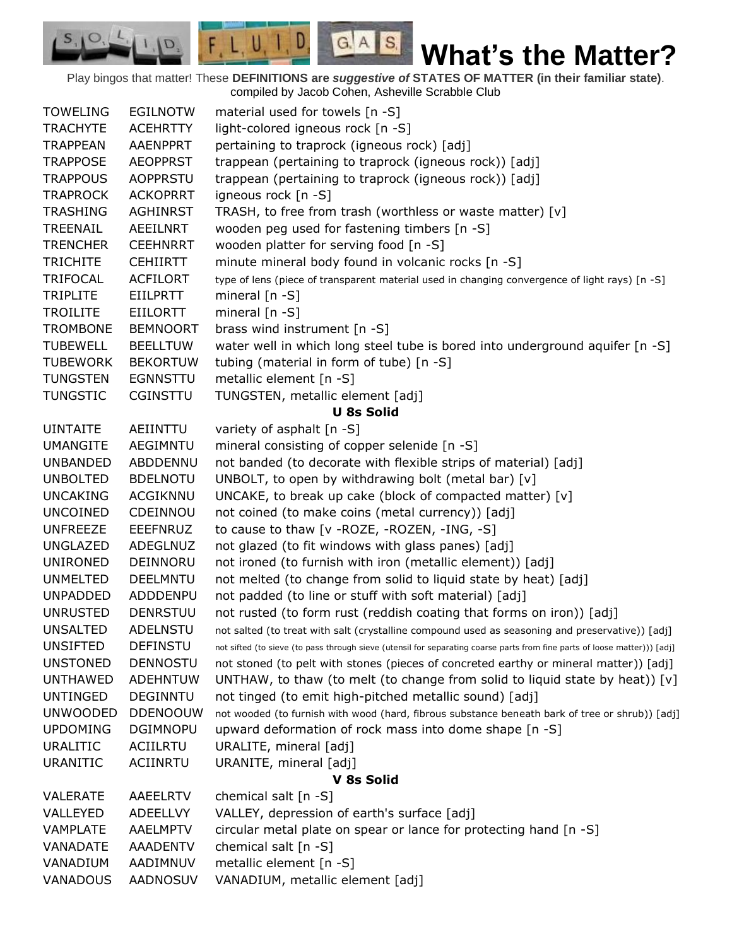Play bingos that matter! These **DEFINITIONS are** *suggestive of* **STATES OF MATTER (in their familiar state)**. compiled by Jacob Cohen, Asheville Scrabble Club

 $G.A.S.$ 

D

 $F, L, U,$ 

D.

| <b>TOWELING</b> | <b>EGILNOTW</b> | material used for towels [n -S]                                                                                           |
|-----------------|-----------------|---------------------------------------------------------------------------------------------------------------------------|
| <b>TRACHYTE</b> | <b>ACEHRTTY</b> | light-colored igneous rock [n -S]                                                                                         |
| <b>TRAPPEAN</b> | <b>AAENPPRT</b> | pertaining to traprock (igneous rock) [adj]                                                                               |
| <b>TRAPPOSE</b> | <b>AEOPPRST</b> | trappean (pertaining to traprock (igneous rock)) [adj]                                                                    |
| <b>TRAPPOUS</b> | <b>AOPPRSTU</b> | trappean (pertaining to traprock (igneous rock)) [adj]                                                                    |
| <b>TRAPROCK</b> | <b>ACKOPRRT</b> | igneous rock [n -S]                                                                                                       |
| <b>TRASHING</b> | <b>AGHINRST</b> | TRASH, to free from trash (worthless or waste matter) [v]                                                                 |
| TREENAIL        | AEEILNRT        | wooden peg used for fastening timbers [n -S]                                                                              |
| <b>TRENCHER</b> | <b>CEEHNRRT</b> | wooden platter for serving food [n -S]                                                                                    |
| <b>TRICHITE</b> | <b>CEHIIRTT</b> | minute mineral body found in volcanic rocks [n -S]                                                                        |
| <b>TRIFOCAL</b> | <b>ACFILORT</b> | type of lens (piece of transparent material used in changing convergence of light rays) [n -S]                            |
| <b>TRIPLITE</b> | <b>EIILPRTT</b> | mineral $[n - S]$                                                                                                         |
| <b>TROILITE</b> | <b>EIILORTT</b> | mineral $[n - S]$                                                                                                         |
| <b>TROMBONE</b> | <b>BEMNOORT</b> | brass wind instrument [n -S]                                                                                              |
| <b>TUBEWELL</b> | <b>BEELLTUW</b> | water well in which long steel tube is bored into underground aquifer [n -S]                                              |
| <b>TUBEWORK</b> | <b>BEKORTUW</b> | tubing (material in form of tube) [n -S]                                                                                  |
| <b>TUNGSTEN</b> | <b>EGNNSTTU</b> | metallic element [n -S]                                                                                                   |
| <b>TUNGSTIC</b> | CGINSTTU        | TUNGSTEN, metallic element [adj]                                                                                          |
|                 |                 | <b>U 8s Solid</b>                                                                                                         |
| <b>UINTAITE</b> | AEIINTTU        | variety of asphalt [n -S]                                                                                                 |
| <b>UMANGITE</b> | AEGIMNTU        | mineral consisting of copper selenide [n -S]                                                                              |
| <b>UNBANDED</b> | ABDDENNU        | not banded (to decorate with flexible strips of material) [adj]                                                           |
| <b>UNBOLTED</b> | <b>BDELNOTU</b> | UNBOLT, to open by withdrawing bolt (metal bar) [v]                                                                       |
| <b>UNCAKING</b> | <b>ACGIKNNU</b> | UNCAKE, to break up cake (block of compacted matter) [v]                                                                  |
| <b>UNCOINED</b> | CDEINNOU        | not coined (to make coins (metal currency)) [adj]                                                                         |
| <b>UNFREEZE</b> | <b>EEEFNRUZ</b> | to cause to thaw [v - ROZE, - ROZEN, - ING, -S]                                                                           |
| <b>UNGLAZED</b> | ADEGLNUZ        | not glazed (to fit windows with glass panes) [adj]                                                                        |
| <b>UNIRONED</b> | DEINNORU        | not ironed (to furnish with iron (metallic element)) [adj]                                                                |
| <b>UNMELTED</b> | <b>DEELMNTU</b> | not melted (to change from solid to liquid state by heat) [adj]                                                           |
| <b>UNPADDED</b> | ADDDENPU        | not padded (to line or stuff with soft material) [adj]                                                                    |
| <b>UNRUSTED</b> | <b>DENRSTUU</b> | not rusted (to form rust (reddish coating that forms on iron)) [adj]                                                      |
| <b>UNSALTED</b> | ADELNSTU        | not salted (to treat with salt (crystalline compound used as seasoning and preservative)) [adj]                           |
| <b>UNSIFTED</b> | <b>DEFINSTU</b> | not sifted (to sieve (to pass through sieve (utensil for separating coarse parts from fine parts of loose matter))) [adj] |
| <b>UNSTONED</b> | <b>DENNOSTU</b> | not stoned (to pelt with stones (pieces of concreted earthy or mineral matter)) [adj]                                     |
| <b>UNTHAWED</b> | <b>ADEHNTUW</b> | UNTHAW, to thaw (to melt (to change from solid to liquid state by heat)) $[v]$                                            |
| <b>UNTINGED</b> | <b>DEGINNTU</b> | not tinged (to emit high-pitched metallic sound) [adj]                                                                    |
| <b>UNWOODED</b> | <b>DDENOOUW</b> | not wooded (to furnish with wood (hard, fibrous substance beneath bark of tree or shrub)) [adj]                           |
| <b>UPDOMING</b> | <b>DGIMNOPU</b> | upward deformation of rock mass into dome shape [n -S]                                                                    |
| <b>URALITIC</b> | <b>ACIILRTU</b> | URALITE, mineral [adj]                                                                                                    |
| <b>URANITIC</b> | ACIINRTU        | URANITE, mineral [adj]                                                                                                    |
|                 |                 | V 8s Solid                                                                                                                |
| <b>VALERATE</b> | AAEELRTV        | chemical salt [n -S]                                                                                                      |
| VALLEYED        | <b>ADEELLVY</b> | VALLEY, depression of earth's surface [adj]                                                                               |
| <b>VAMPLATE</b> | <b>AAELMPTV</b> | circular metal plate on spear or lance for protecting hand [n -S]                                                         |
| VANADATE        | <b>AAADENTV</b> | chemical salt [n -S]                                                                                                      |
| VANADIUM        | AADIMNUV        | metallic element [n -S]                                                                                                   |
| VANADOUS        | AADNOSUV        | VANADIUM, metallic element [adj]                                                                                          |